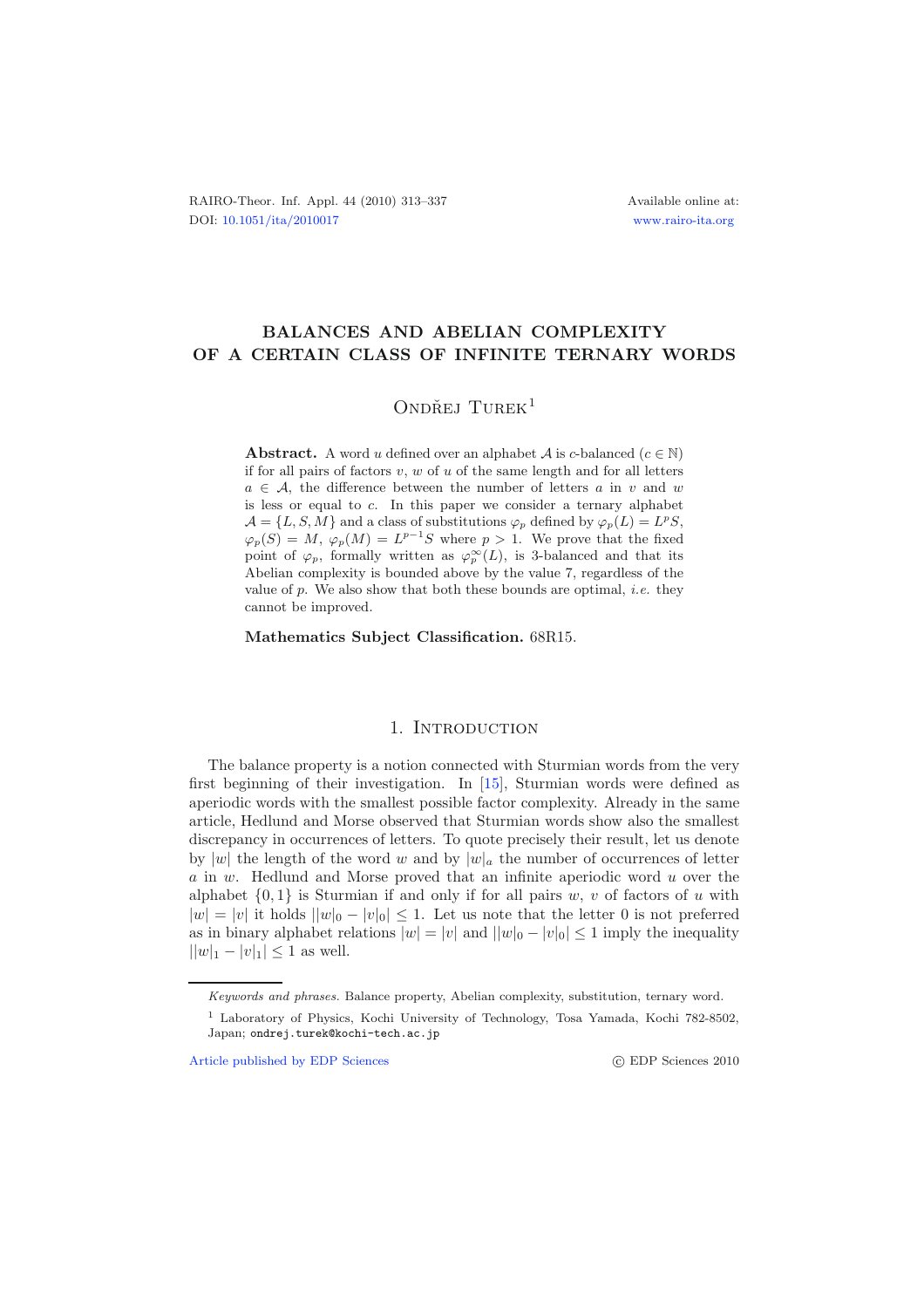# **BALANCES AND ABELIAN COMPLEXITY OF A CERTAIN CLASS OF INFINITE TERNARY WORDS**

ONDŘEJ TUREK $<sup>1</sup>$ </sup>

**Abstract.** A word u defined over an alphabet  $A$  is c-balanced  $(c \in \mathbb{N})$ if for all pairs of factors  $v, w$  of  $u$  of the same length and for all letters  $a \in \mathcal{A}$ , the difference between the number of letters a in v and w is less or equal to c. In this paper we consider a ternary alphabet  $\mathcal{A} = \{L, S, M\}$  and a class of substitutions  $\varphi_p$  defined by  $\varphi_p(L) = L^p S$ ,  $\varphi_p(S) = M$ ,  $\varphi_p(M) = L^{p-1}S$  where  $p > 1$ . We prove that the fixed point of  $\varphi_p$ , formally written as  $\varphi_p^{\infty}(L)$ , is 3-balanced and that its Abelian complexity is bounded above by the value 7, regardless of the value of p. We also show that both these bounds are optimal, *i.e.* they cannot be improved.

**Mathematics Subject Classification.** 68R15.

### 1. INTRODUCTION

The balance property is a notion connected with Sturmian words from the very first beginning of their investigation. In [\[15\]](#page-24-0), Sturmian words were defined as aperiodic words with the smallest possible factor complexity. Already in the same article, Hedlund and Morse observed that Sturmian words show also the smallest discrepancy in occurrences of letters. To quote precisely their result, let us denote by |w| the length of the word w and by  $|w|_a$  the number of occurrences of letter  $a$  in  $w$ . Hedlund and Morse proved that an infinite aperiodic word  $u$  over the alphabet  $\{0,1\}$  is Sturmian if and only if for all pairs w, v of factors of u with  $|w| = |v|$  it holds  $||w|_0 - |v|_0| \leq 1$ . Let us note that the letter 0 is not preferred as in binary alphabet relations  $|w| = |v|$  and  $||w|_0 - |v|_0| \le 1$  imply the inequality  $||w|_1 - |v|_1| \leq 1$  as well.

[Article published by EDP Sciences](http://www.edpsciences.org)

*Keywords and phrases.* Balance property, Abelian complexity, substitution, ternary word.

<sup>1</sup> Laboratory of Physics, Kochi University of Technology, Tosa Yamada, Kochi 782-8502, Japan; ondrej.turek@kochi-tech.ac.jp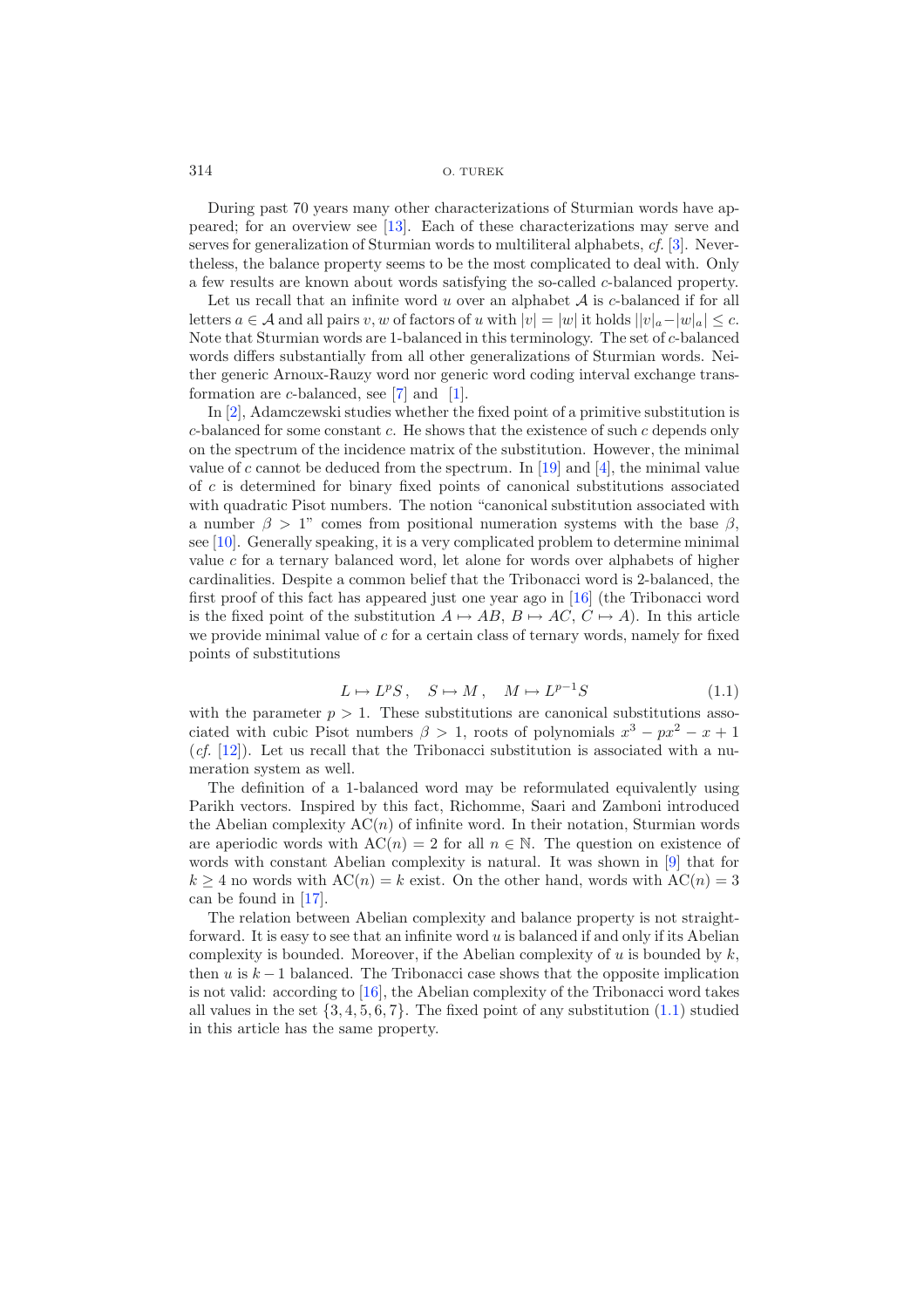During past 70 years many other characterizations of Sturmian words have appeared; for an overview see [\[13\]](#page-23-0). Each of these characterizations may serve and serves for generalization of Sturmian words to multiliteral alphabets, *cf.* [\[3\]](#page-23-1). Nevertheless, the balance property seems to be the most complicated to deal with. Only a few results are known about words satisfying the so-called c-balanced property.

Let us recall that an infinite word  $u$  over an alphabet  $A$  is c-balanced if for all letters  $a \in \mathcal{A}$  and all pairs v, w of factors of u with  $|v| = |w|$  it holds  $||v|_a - |w|_a| \leq c$ . Note that Sturmian words are 1-balanced in this terminology. The set of c-balanced words differs substantially from all other generalizations of Sturmian words. Neither generic Arnoux-Rauzy word nor generic word coding interval exchange transformation are  $c$ -balanced, see [\[7\]](#page-23-2) and [\[1\]](#page-23-3).

<span id="page-1-0"></span>In [\[2\]](#page-23-4), Adamczewski studies whether the fixed point of a primitive substitution is  $c$ -balanced for some constant  $c$ . He shows that the existence of such  $c$  depends only on the spectrum of the incidence matrix of the substitution. However, the minimal value of c cannot be deduced from the spectrum. In [\[19\]](#page-24-1) and [\[4\]](#page-23-5), the minimal value of c is determined for binary fixed points of canonical substitutions associated with quadratic Pisot numbers. The notion "canonical substitution associated with a number  $\beta > 1$ " comes from positional numeration systems with the base  $\beta$ , see [\[10\]](#page-23-6). Generally speaking, it is a very complicated problem to determine minimal value c for a ternary balanced word, let alone for words over alphabets of higher cardinalities. Despite a common belief that the Tribonacci word is 2-balanced, the first proof of this fact has appeared just one year ago in [\[16](#page-24-2)] (the Tribonacci word is the fixed point of the substitution  $A \mapsto AB$ ,  $B \mapsto AC$ ,  $C \mapsto A$ ). In this article we provide minimal value of  $c$  for a certain class of ternary words, namely for fixed points of substitutions

$$
L \mapsto L^p S, \quad S \mapsto M, \quad M \mapsto L^{p-1} S \tag{1.1}
$$

with the parameter  $p > 1$ . These substitutions are canonical substitutions associated with cubic Pisot numbers  $\beta > 1$ , roots of polynomials  $x^3 - px^2 - x + 1$ (*cf.* [\[12\]](#page-23-7)). Let us recall that the Tribonacci substitution is associated with a numeration system as well.

The definition of a 1-balanced word may be reformulated equivalently using Parikh vectors. Inspired by this fact, Richomme, Saari and Zamboni introduced the Abelian complexity  $AC(n)$  of infinite word. In their notation, Sturmian words are aperiodic words with  $AC(n) = 2$  for all  $n \in \mathbb{N}$ . The question on existence of words with constant Abelian complexity is natural. It was shown in [\[9\]](#page-23-8) that for  $k > 4$  no words with  $AC(n) = k$  exist. On the other hand, words with  $AC(n) = 3$ can be found in [\[17\]](#page-24-3).

The relation between Abelian complexity and balance property is not straightforward. It is easy to see that an infinite word  $u$  is balanced if and only if its Abelian complexity is bounded. Moreover, if the Abelian complexity of  $u$  is bounded by  $k$ , then  $u$  is  $k-1$  balanced. The Tribonacci case shows that the opposite implication is not valid: according to [\[16\]](#page-24-2), the Abelian complexity of the Tribonacci word takes all values in the set  $\{3, 4, 5, 6, 7\}$ . The fixed point of any substitution  $(1.1)$  studied in this article has the same property.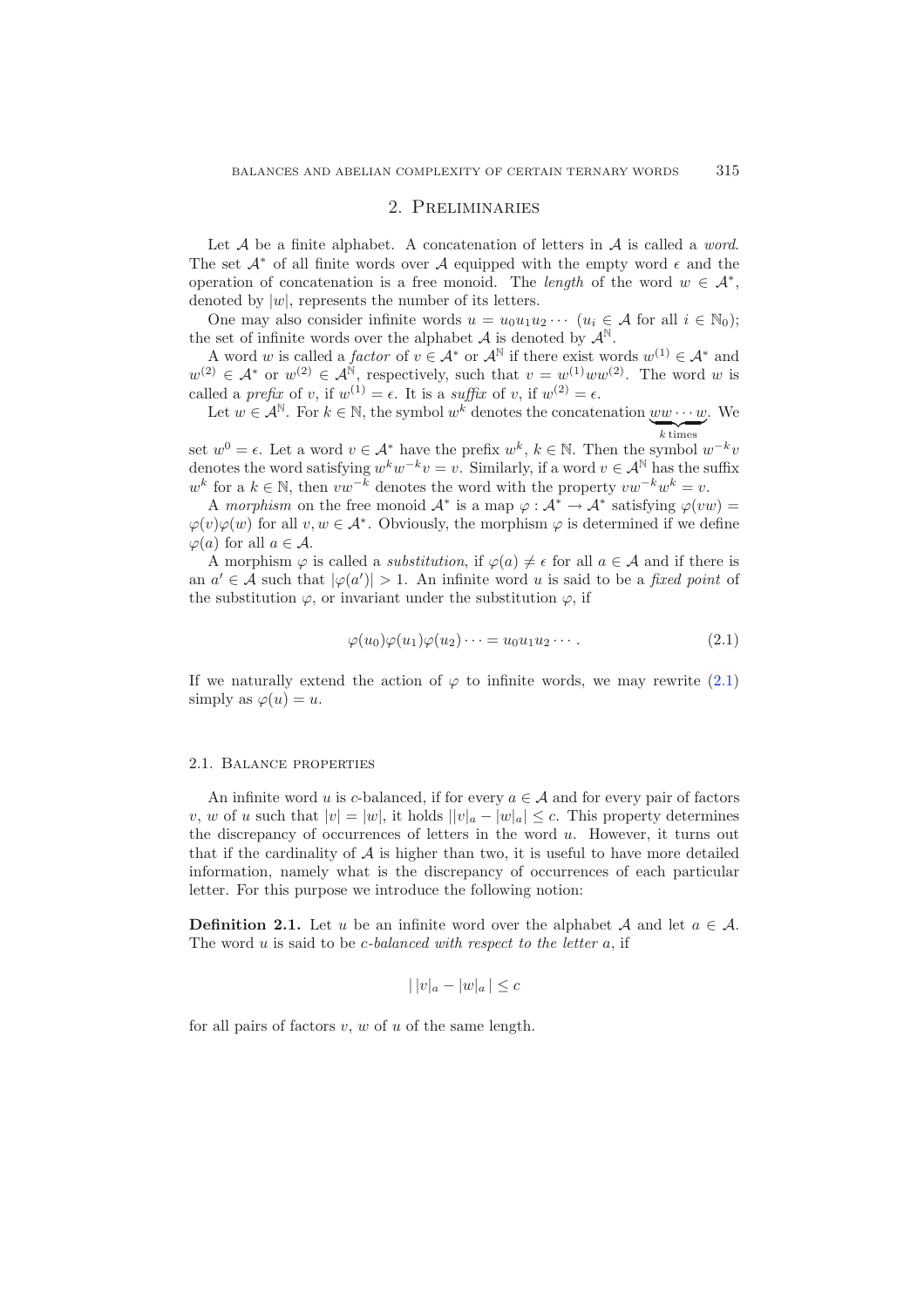#### 2. Preliminaries

Let A be a finite alphabet. A concatenation of letters in A is called a *word*. The set  $\mathcal{A}^*$  of all finite words over  $\mathcal A$  equipped with the empty word  $\epsilon$  and the operation of concatenation is a free monoid. The *length* of the word  $w \in A^*$ , denoted by  $|w|$ , represents the number of its letters.

One may also consider infinite words  $u = u_0u_1u_2\cdots$   $(u_i \in \mathcal{A}$  for all  $i \in \mathbb{N}_0$ ; the set of infinite words over the alphabet  $A$  is denoted by  $A^{\mathbb{N}}$ .

A word w is called a *factor* of  $v \in A^*$  or  $A^N$  if there exist words  $w^{(1)} \in A^*$  and  $w^{(2)} \in \mathcal{A}^*$  or  $w^{(2)} \in \mathcal{A}^{\mathbb{N}}$ , respectively, such that  $v = w^{(1)}ww^{(2)}$ . The word w is called a *prefix* of v, if  $w^{(1)} = \epsilon$ . It is a *suffix* of v, if  $w^{(2)} = \epsilon$ .

<span id="page-2-0"></span>Let  $w \in \mathcal{A}^{\mathbb{N}}$ . For  $k \in \mathbb{N}$ , the symbol  $w^k$  denotes the concatenation  $ww\cdots w$ . We -<sup>k</sup> times

set  $w^0 = \epsilon$ . Let a word  $v \in A^*$  have the prefix  $w^k, k \in \mathbb{N}$ . Then the symbol  $w^{-k}v$ denotes the word satisfying  $w^k w^{-k} v = v$ . Similarly, if a word  $v \in A^{\mathbb{N}}$  has the suffix w<sup>k</sup> for a k ∈ N, then  $vw^{-k}$  denotes the word with the property  $vw^{-k}w^{k} = v$ .

A *morphism* on the free monoid  $\mathcal{A}^*$  is a map  $\varphi : \mathcal{A}^* \to \mathcal{A}^*$  satisfying  $\varphi(vw) =$  $\varphi(v)\varphi(w)$  for all  $v, w \in A^*$ . Obviously, the morphism  $\varphi$  is determined if we define  $\varphi(a)$  for all  $a \in \mathcal{A}$ .

A morphism  $\varphi$  is called a *substitution*, if  $\varphi(a) \neq \epsilon$  for all  $a \in \mathcal{A}$  and if there is an  $a' \in \mathcal{A}$  such that  $|\varphi(a')| > 1$ . An infinite word u is said to be a *fixed point* of the substitution  $\varphi$ , or invariant under the substitution  $\varphi$ , if

$$
\varphi(u_0)\varphi(u_1)\varphi(u_2)\cdots = u_0u_1u_2\cdots. \qquad (2.1)
$$

If we naturally extend the action of  $\varphi$  to infinite words, we may rewrite [\(2.1\)](#page-2-0) simply as  $\varphi(u) = u$ .

#### 2.1. Balance properties

An infinite word u is c-balanced, if for every  $a \in \mathcal{A}$  and for every pair of factors v, w of u such that  $|v| = |w|$ , it holds  $||v|_a - |w|_a| \leq c$ . This property determines the discrepancy of occurrences of letters in the word  $u$ . However, it turns out that if the cardinality of  $A$  is higher than two, it is useful to have more detailed information, namely what is the discrepancy of occurrences of each particular letter. For this purpose we introduce the following notion:

**Definition 2.1.** Let u be an infinite word over the alphabet A and let  $a \in A$ . The word u is said to be c*-balanced with respect to the letter* a, if

$$
||v|_a - |w|_a| \leq c
$$

for all pairs of factors  $v, w$  of  $u$  of the same length.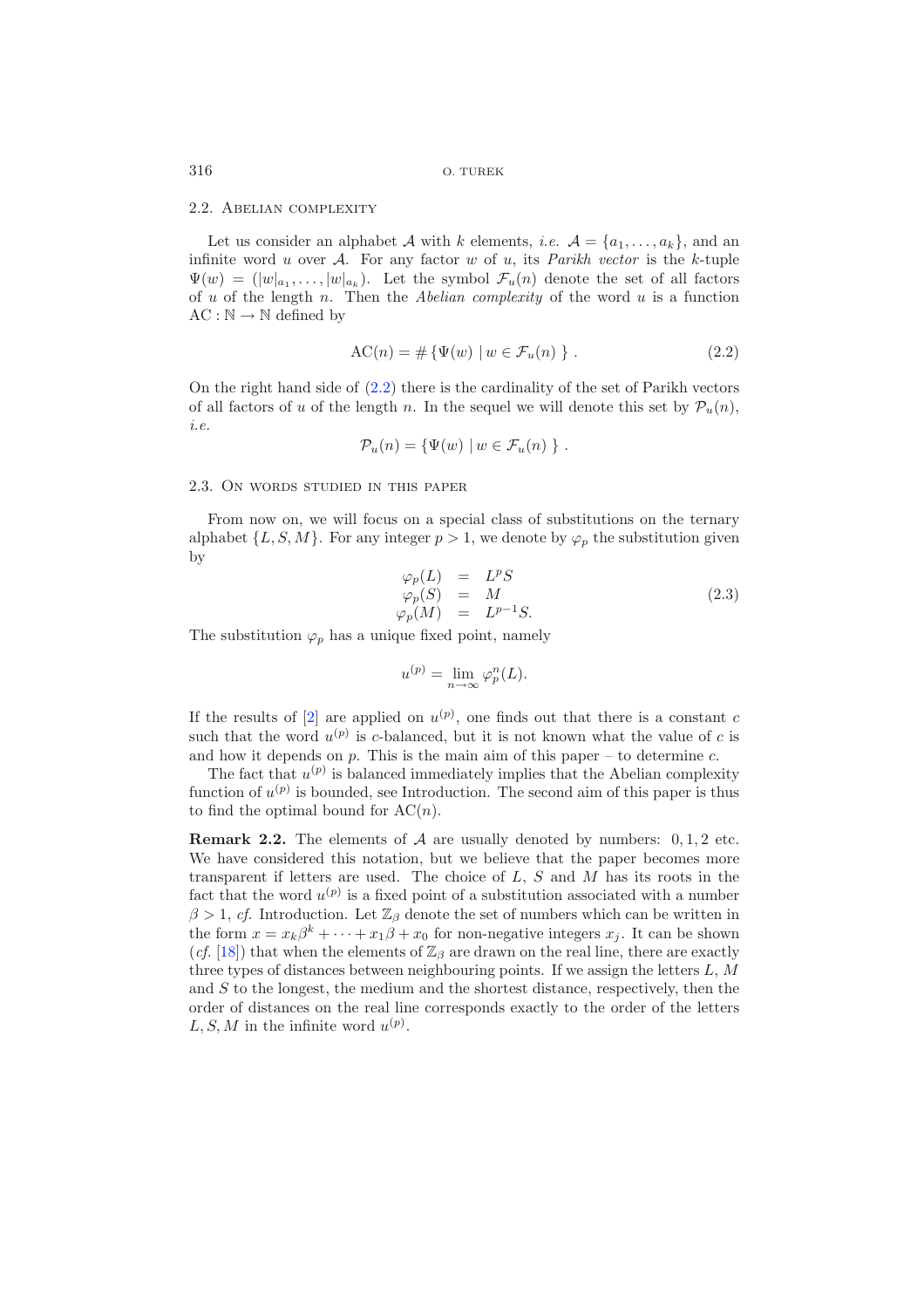#### 2.2. Abelian complexity

Let us consider an alphabet A with k elements, *i.e.*  $A = \{a_1, \ldots, a_k\}$ , and an infinite word u over  $A$ . For any factor w of u, its *Parikh vector* is the k-tuple  $\Psi(w)=(|w|_{a_1},\ldots, |w|_{a_k}).$  Let the symbol  $\mathcal{F}_u(n)$  denote the set of all factors of u of the length n. Then the *Abelian complexity* of the word u is a function  $AC : \mathbb{N} \to \mathbb{N}$  defined by

<span id="page-3-1"></span>
$$
AC(n) = #\left\{\Psi(w) \mid w \in \mathcal{F}_u(n)\right\}.
$$
\n
$$
(2.2)
$$

On the right hand side of [\(2.2\)](#page-3-0) there is the cardinality of the set of Parikh vectors of all factors of u of the length n. In the sequel we will denote this set by  $\mathcal{P}_u(n)$ , *i.e.*

$$
\mathcal{P}_u(n) = \{ \Psi(w) \mid w \in \mathcal{F}_u(n) \} .
$$

#### 2.3. On words studied in this paper

From now on, we will focus on a special class of substitutions on the ternary alphabet  $\{L, S, M\}$ . For any integer  $p > 1$ , we denote by  $\varphi_p$  the substitution given by

$$
\begin{array}{rcl}\n\varphi_p(L) & = & L^p S \\
\varphi_p(S) & = & M \\
\varphi_p(M) & = & L^{p-1} S.\n\end{array} \tag{2.3}
$$

The substitution  $\varphi_p$  has a unique fixed point, namely

$$
u^{(p)} = \lim_{n \to \infty} \varphi_p^n(L).
$$

If the results of [\[2\]](#page-23-4) are applied on  $u^{(p)}$ , one finds out that there is a constant c such that the word  $u^{(p)}$  is c-balanced, but it is not known what the value of c is and how it depends on  $p$ . This is the main aim of this paper – to determine  $c$ .

The fact that  $u^{(p)}$  is balanced immediately implies that the Abelian complexity function of  $u^{(p)}$  is bounded, see Introduction. The second aim of this paper is thus to find the optimal bound for  $AC(n)$ .

**Remark 2.2.** The elements of  $A$  are usually denoted by numbers:  $0, 1, 2$  etc. We have considered this notation, but we believe that the paper becomes more transparent if letters are used. The choice of  $L$ ,  $S$  and  $M$  has its roots in the fact that the word  $u^{(p)}$  is a fixed point of a substitution associated with a number  $\beta > 1$ , *cf.* Introduction. Let  $\mathbb{Z}_{\beta}$  denote the set of numbers which can be written in the form  $x = x_k \beta^k + \cdots + x_1 \beta + x_0$  for non-negative integers  $x_j$ . It can be shown (*cf.* [\[18\]](#page-24-4)) that when the elements of  $\mathbb{Z}_{\beta}$  are drawn on the real line, there are exactly three types of distances between neighbouring points. If we assign the letters L, M and S to the longest, the medium and the shortest distance, respectively, then the order of distances on the real line corresponds exactly to the order of the letters L, S, M in the infinite word  $u^{(p)}$ .

<span id="page-3-0"></span>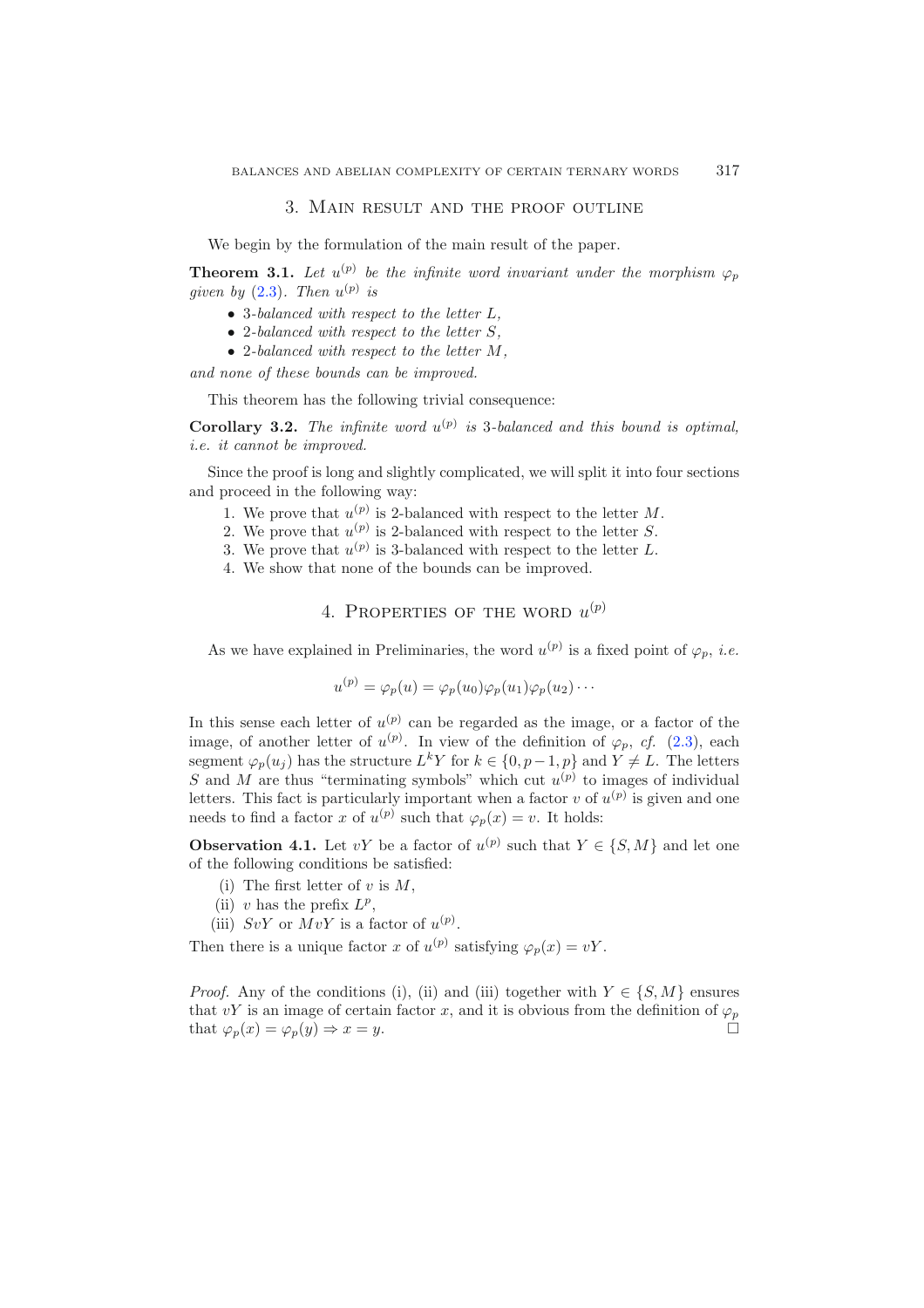#### 3. Main result and the proof outline

We begin by the formulation of the main result of the paper.

<span id="page-4-1"></span>**Theorem 3.1.** Let  $u^{(p)}$  be the infinite word invariant under the morphism  $\varphi_p$ *given by*  $(2.3)$ *. Then*  $u^{(p)}$  *is* 

- 3*-balanced with respect to the letter* L*,*
- 2*-balanced with respect to the letter* S*,*
- 2*-balanced with respect to the letter* M*,*

*and none of these bounds can be improved.*

This theorem has the following trivial consequence:

**Corollary 3.2.** *The infinite word*  $u^{(p)}$  *is* 3*-balanced and this bound is optimal, i.e. it cannot be improved.*

Since the proof is long and slightly complicated, we will split it into four sections and proceed in the following way:

- 1. We prove that  $u^{(p)}$  is 2-balanced with respect to the letter M.
- 2. We prove that  $u^{(p)}$  is 2-balanced with respect to the letter S.
- 3. We prove that  $u^{(p)}$  is 3-balanced with respect to the letter L.
- 4. We show that none of the bounds can be improved.

# 4. PROPERTIES OF THE WORD  $u^{(p)}$

As we have explained in Preliminaries, the word  $u^{(p)}$  is a fixed point of  $\varphi_p$ , *i.e.* 

$$
u^{(p)} = \varphi_p(u) = \varphi_p(u_0)\varphi_p(u_1)\varphi_p(u_2)\cdots
$$

In this sense each letter of  $u^{(p)}$  can be regarded as the image, or a factor of the image, of another letter of  $u^{(p)}$ . In view of the definition of  $\varphi_p$ , *cf.* [\(2.3\)](#page-3-1), each segment  $\varphi_p(u_i)$  has the structure  $L^k Y$  for  $k \in \{0, p-1, p\}$  and  $Y \neq L$ . The letters S and M are thus "terminating symbols" which cut  $u^{(p)}$  to images of individual letters. This fact is particularly important when a factor v of  $u^{(p)}$  is given and one needs to find a factor x of  $u^{(p)}$  such that  $\varphi_p(x) = v$ . It holds:

<span id="page-4-0"></span>**Observation 4.1.** Let vY be a factor of  $u^{(p)}$  such that  $Y \in \{S, M\}$  and let one of the following conditions be satisfied:

- (i) The first letter of  $v$  is  $M$ ,
- (ii) v has the prefix  $L^p$ ,
- (iii)  $SvY$  or  $MvY$  is a factor of  $u^{(p)}$ .

Then there is a unique factor x of  $u^{(p)}$  satisfying  $\varphi_p(x) = vY$ .

*Proof.* Any of the conditions (i), (ii) and (iii) together with  $Y \in \{S, M\}$  ensures that vY is an image of certain factor x, and it is obvious from the definition of  $\varphi_p$ that  $\varphi_p(x) = \varphi_p(y) \Rightarrow x = y$ .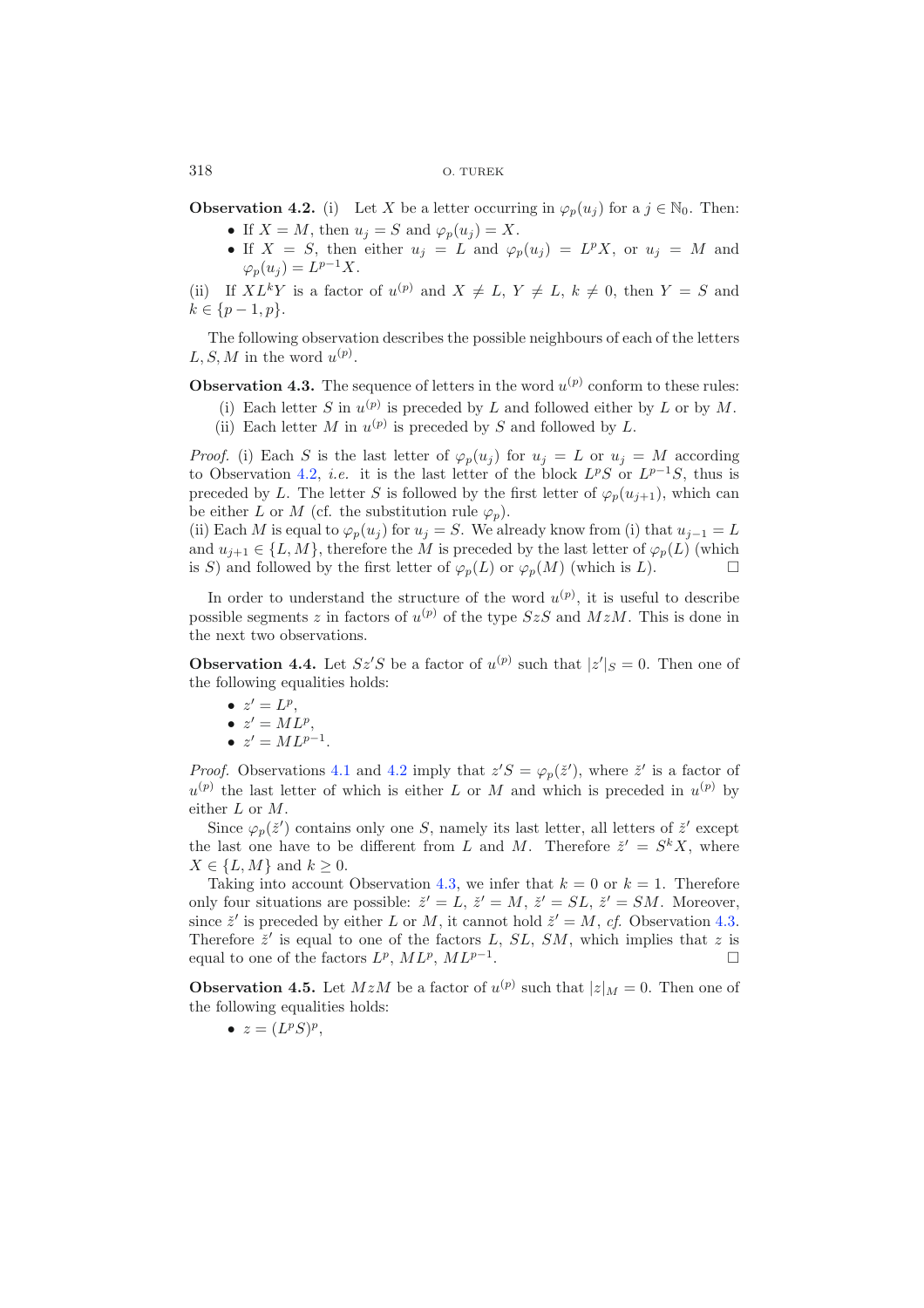<span id="page-5-0"></span>**Observation 4.2.** (i) Let X be a letter occurring in  $\varphi_p(u_j)$  for a  $j \in \mathbb{N}_0$ . Then:

- If  $X = M$ , then  $u_i = S$  and  $\varphi_n(u_i) = X$ .
- If  $X = S$ , then either  $u_j = L$  and  $\varphi_p(u_j) = L^p X$ , or  $u_j = M$  and  $\varphi_p(u_j) = L^{p-1}X.$

(ii) If  $XL^kY$  is a factor of  $u^{(p)}$  and  $X \neq L$ ,  $Y \neq L$ ,  $k \neq 0$ , then  $Y = S$  and  $k \in \{p-1, p\}.$ 

The following observation describes the possible neighbours of each of the letters L, S, M in the word  $u^{(p)}$ .

<span id="page-5-1"></span>**Observation 4.3.** The sequence of letters in the word  $u^{(p)}$  conform to these rules:

(i) Each letter S in  $u^{(p)}$  is preceded by L and followed either by L or by M.

(ii) Each letter M in  $u^{(p)}$  is preceded by S and followed by L.

*Proof.* (i) Each S is the last letter of  $\varphi_p(u_i)$  for  $u_i = L$  or  $u_i = M$  according to Observation [4.2,](#page-5-0) *i.e.* it is the last letter of the block  $L^pS$  or  $L^{p-1}S$ , thus is preceded by L. The letter S is followed by the first letter of  $\varphi_p(u_{j+1}),$  which can be either L or M (cf. the substitution rule  $\varphi_p$ ).

(ii) Each M is equal to  $\varphi_p(u_i)$  for  $u_i = S$ . We already know from (i) that  $u_{i-1} = L$ and  $u_{i+1} \in \{L, M\}$ , therefore the M is preceded by the last letter of  $\varphi_p(L)$  (which is S) and followed by the first letter of  $\varphi_p(L)$  or  $\varphi_p(M)$  (which is L).

In order to understand the structure of the word  $u^{(p)}$ , it is useful to describe possible segments z in factors of  $u^{(p)}$  of the type  $SzS$  and  $MzM$ . This is done in the next two observations.

<span id="page-5-2"></span>**Observation 4.4.** Let  $Sz'S$  be a factor of  $u^{(p)}$  such that  $|z'|_S = 0$ . Then one of the following equalities holds:

\n- $$
z' = L^p
$$
\n- $z' = ML^p$
\n- $z' = ML^{p-1}$
\n

*Proof.* Observations [4.1](#page-4-0) and [4.2](#page-5-0) imply that  $z'S = \varphi_p(\check{z}')$ , where  $\check{z}'$  is a factor of  $u^{(p)}$  the last letter of which is either L or M and which is preceded in  $u^{(p)}$  by either L or M.

Since  $\varphi_p(\check{z}')$  contains only one S, namely its last letter, all letters of  $\check{z}'$  except the last one have to be different from L and M. Therefore  $\check{z}' = S^k X$ , where  $X \in \{L, M\}$  and  $k \geq 0$ .

Taking into account Observation [4.3,](#page-5-1) we infer that  $k = 0$  or  $k = 1$ . Therefore only four situations are possible:  $\check{z}' = L$ ,  $\check{z}' = M$ ,  $\check{z}' = SL$ ,  $\check{z}' = SM$ . Moreover, since  $\check{z}'$  is preceded by either L or M, it cannot hold  $\check{z}' = M$ , *cf.* Observation [4.3.](#page-5-1) Therefore  $\check{z}'$  is equal to one of the factors L, SL, SM, which implies that z is equal to one of the factors  $L^p$ ,  $ML^p$ ,  $ML^{p-1}$ .

<span id="page-5-3"></span>**Observation 4.5.** Let  $MzM$  be a factor of  $u^{(p)}$  such that  $|z|_M = 0$ . Then one of the following equalities holds:

•  $z = (L^p S)^p$ ,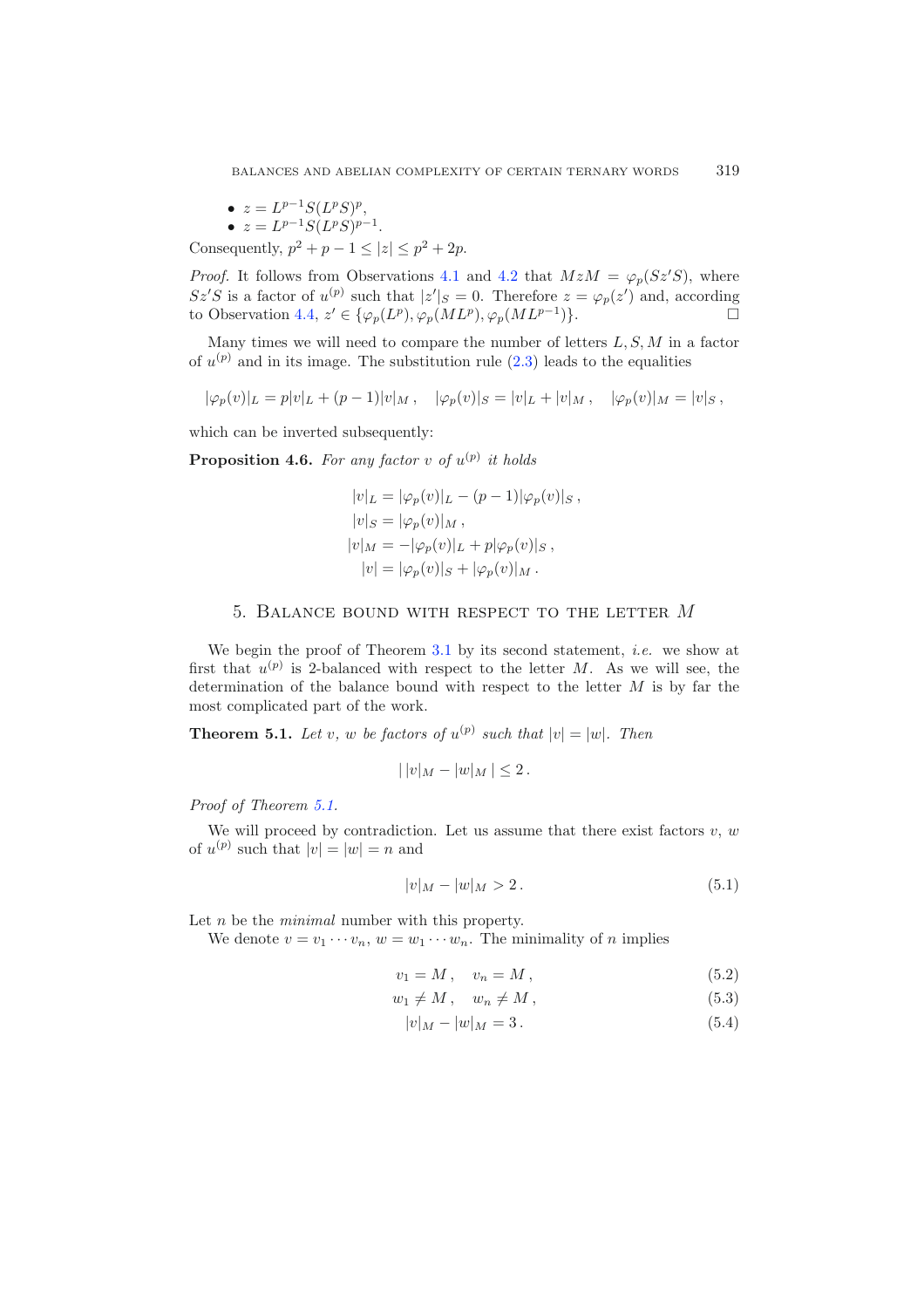\n- $$
z = L^{p-1}S(L^pS)^p
$$
\n- $z = L^{p-1}S(L^pS)^{p-1}$
\n

Consequently,  $p^2 + p - 1 \le |z| \le p^2 + 2p$ .

*Proof.* It follows from Observations [4.1](#page-4-0) and [4.2](#page-5-0) that  $M \geq \varphi_p(Sz'S)$ , where  $Sz'S$  is a factor of  $u^{(p)}$  such that  $|z'|_S = 0$ . Therefore  $z = \varphi_p(z')$  and, according to Observation [4.4,](#page-5-2)  $z' \in {\varphi_p(L^p), \varphi_p(ML^p), \varphi_p(ML^{p-1})}.$ 

Many times we will need to compare the number of letters  $L, S, M$  in a factor of  $u^{(p)}$  and in its image. The substitution rule  $(2.3)$  leads to the equalities

$$
|\varphi_p(v)|_L = p|v|_L + (p-1)|v|_M, \quad |\varphi_p(v)|_S = |v|_L + |v|_M, \quad |\varphi_p(v)|_M = |v|_S,
$$

<span id="page-6-3"></span>which can be inverted subsequently:

**Proposition 4.6.** For any factor v of  $u^{(p)}$  it holds

$$
|v|_L = |\varphi_p(v)|_L - (p-1)|\varphi_p(v)|_S,
$$
  
\n
$$
|v|_S = |\varphi_p(v)|_M,
$$
  
\n
$$
|v|_M = -|\varphi_p(v)|_L + p|\varphi_p(v)|_S,
$$
  
\n
$$
|v| = |\varphi_p(v)|_S + |\varphi_p(v)|_M.
$$

### <span id="page-6-5"></span>5. Balance bound with respect to the letter *M*

We begin the proof of Theorem [3.1](#page-4-1) by its second statement, *i.e.* we show at first that  $u^{(p)}$  is 2-balanced with respect to the letter M. As we will see, the determination of the balance bound with respect to the letter  $M$  is by far the most complicated part of the work.

<span id="page-6-0"></span>**Theorem 5.1.** Let v, w be factors of  $u^{(p)}$  such that  $|v| = |w|$ . Then

<span id="page-6-4"></span><span id="page-6-2"></span><span id="page-6-1"></span>
$$
|\,|v|_M - |w|_M\,| \leq 2.
$$

*Proof of Theorem [5.1.](#page-6-0)*

We will proceed by contradiction. Let us assume that there exist factors  $v, w$ of  $u^{(p)}$  such that  $|v| = |w| = n$  and

$$
|v|_M - |w|_M > 2. \tag{5.1}
$$

Let *n* be the *minimal* number with this property.

We denote  $v = v_1 \cdots v_n$ ,  $w = w_1 \cdots w_n$ . The minimality of *n* implies

$$
v_1 = M, \quad v_n = M,\tag{5.2}
$$

$$
w_1 \neq M \,, \quad w_n \neq M \,, \tag{5.3}
$$

$$
|v|_M - |w|_M = 3.
$$
\n(5.4)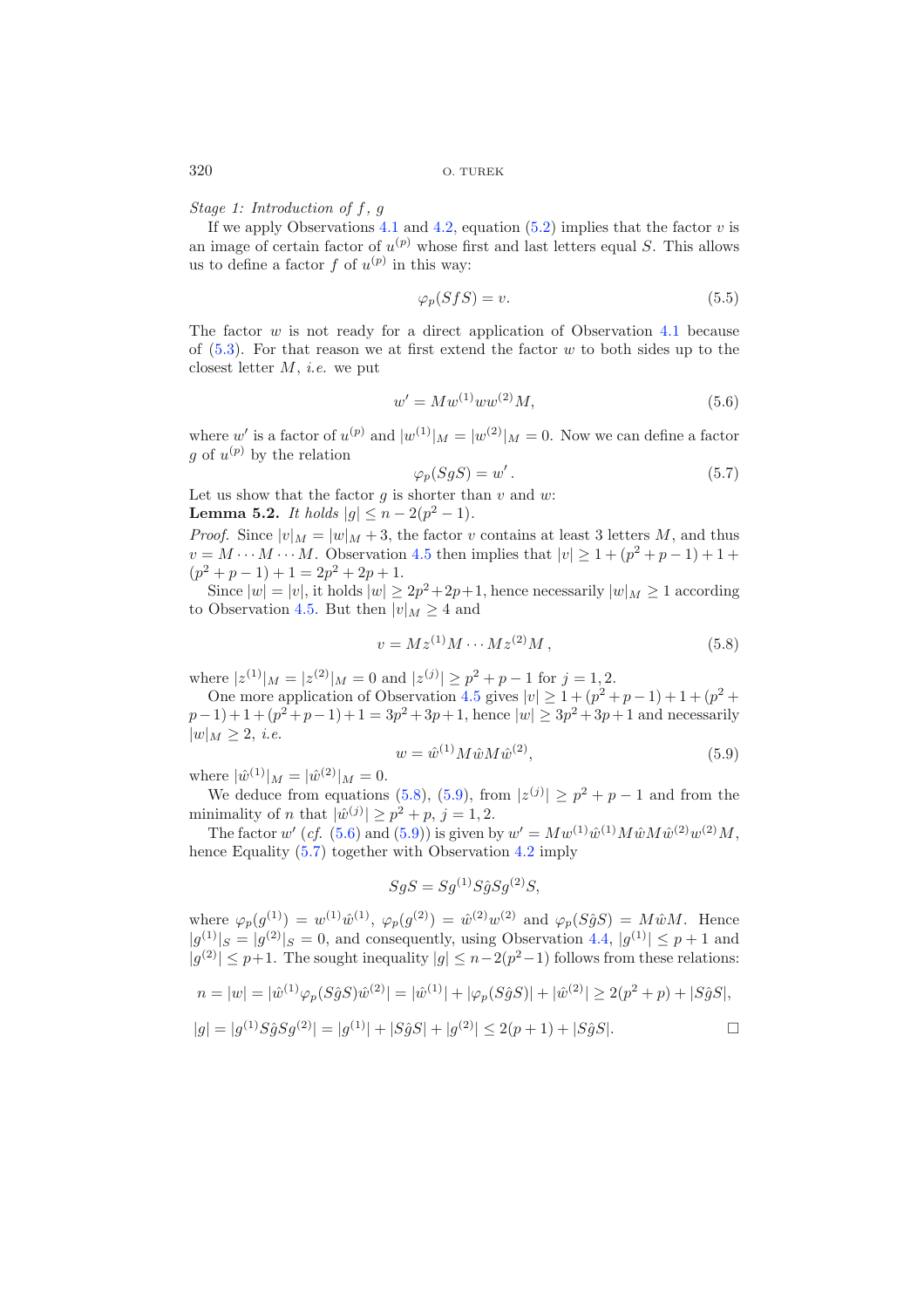*Stage 1: Introduction of* f*,* g

<span id="page-7-3"></span>If we apply Observations [4.1](#page-4-0) and [4.2,](#page-5-0) equation  $(5.2)$  implies that the factor v is an image of certain factor of  $u^{(p)}$  whose first and last letters equal S. This allows us to define a factor f of  $u^{(p)}$  in this way:

$$
\varphi_p(SfS) = v.\tag{5.5}
$$

The factor  $w$  is not ready for a direct application of Observation [4.1](#page-4-0) because of  $(5.3)$ . For that reason we at first extend the factor w to both sides up to the closest letter M, *i.e.* we put

$$
w' = Mw^{(1)}ww^{(2)}M,
$$
\n(5.6)

<span id="page-7-0"></span>where w' is a factor of  $u^{(p)}$  and  $|w^{(1)}|_M = |w^{(2)}|_M = 0$ . Now we can define a factor g of  $u^{(p)}$  by the relation

$$
\varphi_p(SgS) = w' \,. \tag{5.7}
$$

<span id="page-7-4"></span>Let us show that the factor  $g$  is shorter than  $v$  and  $w$ : **Lemma 5.2.** *It holds*  $|q| < n - 2(p^2 - 1)$ *.* 

<span id="page-7-1"></span>*Proof.* Since  $|v|_M = |w|_M + 3$ , the factor v contains at least 3 letters M, and thus  $v = M \cdots M \cdots M$ . Observation [4.5](#page-5-3) then implies that  $|v| \geq 1 + (p^2 + p - 1) + 1 +$  $(p^{2} + p - 1) + 1 = 2p^{2} + 2p + 1.$ 

Since  $|w| = |v|$ , it holds  $|w| \geq 2p^2 + 2p + 1$ , hence necessarily  $|w|_M \geq 1$  according to Observation [4.5.](#page-5-3) But then  $|v|_M \geq 4$  and

$$
v = Mz^{(1)}M \cdots Mz^{(2)}M , \qquad (5.8)
$$

where  $|z^{(1)}|_M = |z^{(2)}|_M = 0$  and  $|z^{(j)}| \ge p^2 + p - 1$  for  $j = 1, 2$ .

One more application of Observation [4.5](#page-5-3) gives  $|v| \geq 1 + (p^2 + p - 1) + 1 + (p^2 + p)$  $p-1+1+(p^2+p-1)+1=3p^2+3p+1$ , hence  $|w|\geq 3p^2+3p+1$  and necessarily  $|w|_M \geq 2$ , *i.e.* 

$$
w = \hat{w}^{(1)} M \hat{w} M \hat{w}^{(2)}, \tag{5.9}
$$

where  $|\hat{w}^{(1)}|_M = |\hat{w}^{(2)}|_M = 0.$ 

We deduce from equations [\(5.8\)](#page-7-0), [\(5.9\)](#page-7-1), from  $|z^{(j)}| \geq p^2 + p - 1$  and from the minimality of *n* that  $|\hat{w}^{(j)}| \geq p^2 + p$ ,  $j = 1, 2$ .

The factor w' (*cf.* [\(5.6\)](#page-7-2) and [\(5.9\)](#page-7-1)) is given by  $w' = M w^{(1)} \hat{w}^{(1)} M \hat{w} M \hat{w}^{(2)} w^{(2)} M$ , hence Equality  $(5.7)$  together with Observation [4.2](#page-5-0) imply

$$
SgS = Sg^{(1)}S\hat{g}Sg^{(2)}S,
$$

where  $\varphi_p(g^{(1)}) = w^{(1)}\hat{w}^{(1)}, \varphi_p(g^{(2)}) = \hat{w}^{(2)}w^{(2)}$  and  $\varphi_p(S\hat{g}S) = M\hat{w}M$ . Hence  $|g^{(1)}|_S = |g^{(2)}|_S = 0$ , and consequently, using Observation [4.4,](#page-5-2)  $|g^{(1)}| \leq p+1$  and  $|g^{(2)}| \leq p+1$ . The sought inequality  $|g| \leq n-2(p^2-1)$  follows from these relations:

$$
n = |w| = |\hat{w}^{(1)}\varphi_p(S\hat{g}S)\hat{w}^{(2)}| = |\hat{w}^{(1)}| + |\varphi_p(S\hat{g}S)| + |\hat{w}^{(2)}| \ge 2(p^2 + p) + |S\hat{g}S|,
$$
  

$$
|g| = |g^{(1)}S\hat{g}Sg^{(2)}| = |g^{(1)}| + |S\hat{g}S| + |g^{(2)}| \le 2(p+1) + |S\hat{g}S|.
$$

<span id="page-7-5"></span><span id="page-7-2"></span>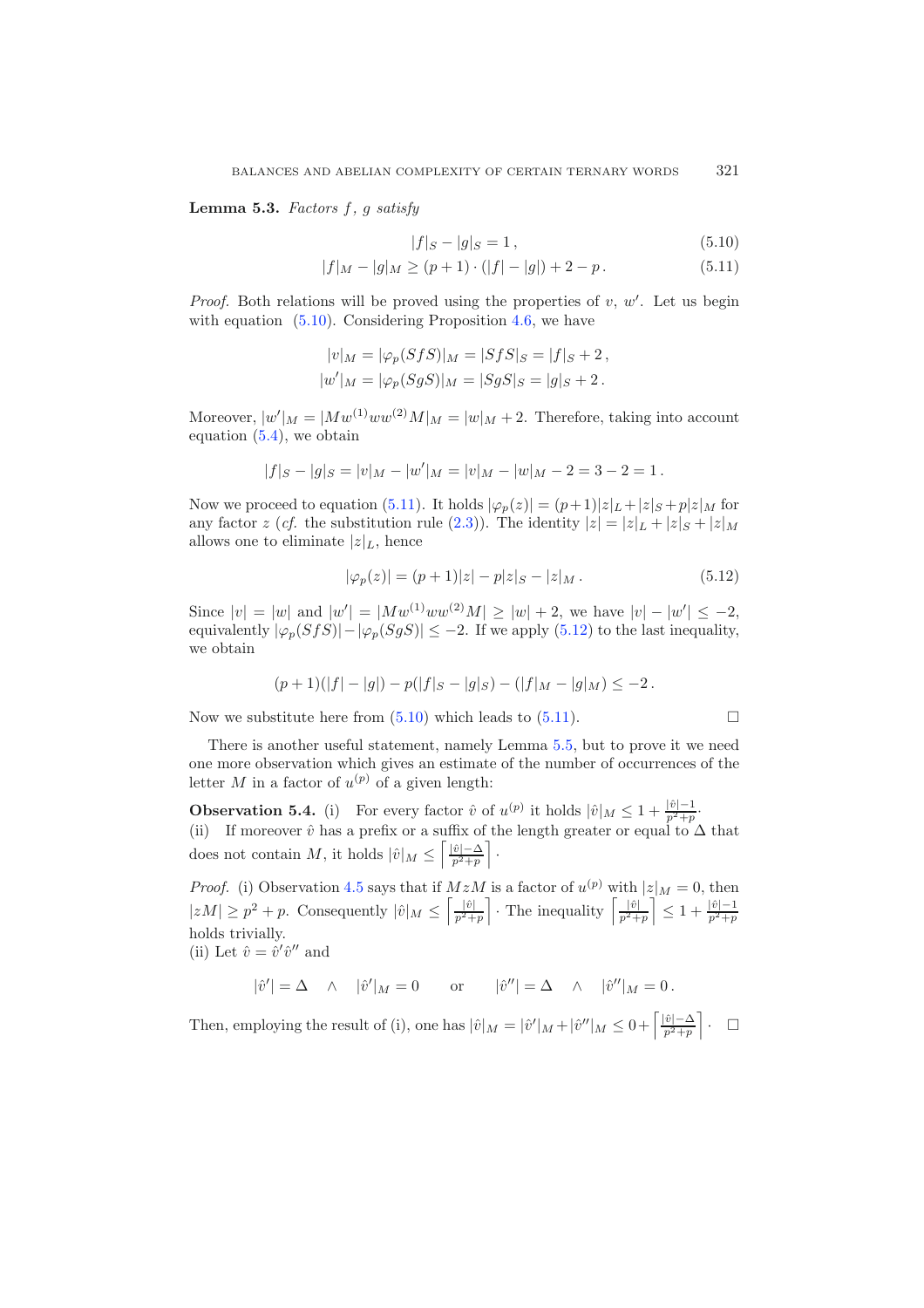**Lemma 5.3.** *Factors* f*,* g *satisfy*

<span id="page-8-1"></span><span id="page-8-0"></span>
$$
|f|_S - |g|_S = 1, \t(5.10)
$$

$$
|f|_M - |g|_M \ge (p+1) \cdot (|f| - |g|) + 2 - p. \tag{5.11}
$$

<span id="page-8-2"></span>*Proof.* Both relations will be proved using the properties of  $v, w'$ . Let us begin with equation [\(5.10\)](#page-8-0). Considering Proposition [4.6,](#page-6-3) we have

$$
|v|_M = |\varphi_p(SfS)|_M = |SfS|_S = |f|_S + 2,
$$
  

$$
|w'|_M = |\varphi_p(SgS)|_M = |SgS|_S = |g|_S + 2.
$$

Moreover,  $|w'|_M = |Mw^{(1)}ww^{(2)}M|_M = |w|_M + 2$ . Therefore, taking into account equation  $(5.4)$ , we obtain

$$
|f|_S - |g|_S = |v|_M - |w'|_M = |v|_M - |w|_M - 2 = 3 - 2 = 1.
$$

Now we proceed to equation [\(5.11\)](#page-8-1). It holds  $|\varphi_p(z)| = (p+1)|z|_L + |z|_S + p|z|_M$  for any factor z (*cf.* the substitution rule [\(2.3\)](#page-3-1)). The identity  $|z| = |z|_L + |z|_S + |z|_M$ allows one to eliminate  $|z|_L$ , hence

$$
|\varphi_p(z)| = (p+1)|z| - p|z|_S - |z|_M. \tag{5.12}
$$

 $\Box$ 

Since  $|v| = |w|$  and  $|w'| = |Mw^{(1)}ww^{(2)}M| \ge |w| + 2$ , we have  $|v| - |w'| \le -2$ , equivalently  $|\varphi_p(SfS)| - |\varphi_p(SgS)| \leq -2$ . If we apply [\(5.12\)](#page-8-2) to the last inequality, we obtain

$$
(p+1)(|f|-|g|) - p(|f|_S - |g|_S) - (|f|_M - |g|_M) \le -2.
$$

Now we substitute here from  $(5.10)$  which leads to  $(5.11)$ .

There is another useful statement, namely Lemma [5.5,](#page-9-0) but to prove it we need one more observation which gives an estimate of the number of occurrences of the letter M in a factor of  $u^{(p)}$  of a given length:

<span id="page-8-3"></span>**Observation 5.4.** (i) For every factor  $\hat{v}$  of  $u^{(p)}$  it holds  $|\hat{v}|_M \leq 1 + \frac{|\hat{v}| - 1}{p^2 + p}$ . (ii) If moreover  $\hat{v}$  has a prefix or a suffix of the length greater or equal to  $\Delta$  that does not contain M, it holds  $|\hat{v}|_M \leq \left\lceil \frac{|\hat{v}| - \Delta}{p^2 + p} \right\rceil$ .

*Proof.* (i) Observation [4.5](#page-5-3) says that if  $MzM$  is a factor of  $u^{(p)}$  with  $|z|_M = 0$ , then  $|zM| \geq p^2 + p$ . Consequently  $|\hat{v}|_M \leq \left[\frac{|\hat{v}|}{p^2+p}\right]$ . The inequality  $\left[\frac{|\hat{v}|}{p^2+p}\right] \leq 1 + \frac{|\hat{v}|-1}{p^2+p}$ holds trivially. (ii) Let  $\hat{v} = \hat{v}'\hat{v}''$  and

$$
|\hat v'|=\Delta\quad\wedge\quad |\hat v'|_M=0\qquad\text{or}\qquad |\hat v''|=\Delta\quad\wedge\quad |\hat v''|_M=0\,.
$$

Then, employing the result of (i), one has  $|\hat{v}|_M = |\hat{v}'|_M + |\hat{v}''|_M \leq 0 + \left[\frac{|\hat{v}| - \Delta}{p^2 + p}\right] \cdot \square$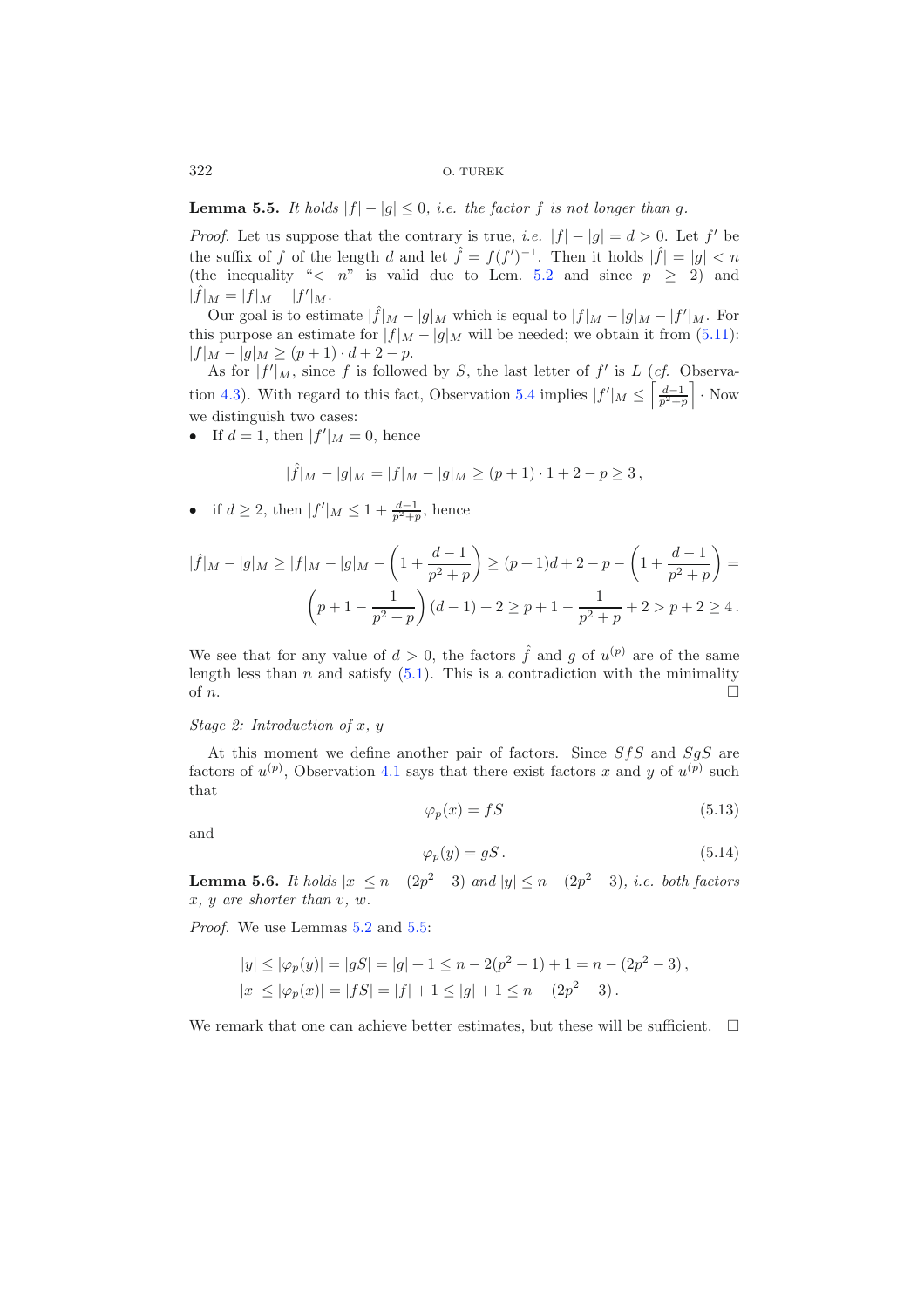<span id="page-9-0"></span>**Lemma 5.5.** *It holds*  $|f| - |g| \leq 0$ *, i.e. the factor* f *is not longer than g.* 

*Proof.* Let us suppose that the contrary is true, *i.e.*  $|f| - |g| = d > 0$ . Let f' be the suffix of f of the length d and let  $\hat{f} = f(f')^{-1}$ . Then it holds  $|\hat{f}| = |g| < n$ (the inequality "<  $n$ " is valid due to Lem. [5.2](#page-7-4) and since  $p \geq 2$ ) and  $|\hat{f}|_M = |f|_M - |f'|_M.$ 

Our goal is to estimate  $|\hat{f}|_M - |g|_M$  which is equal to  $|f|_M - |g|_M - |f'|_M$ . For this purpose an estimate for  $|f|_M - |g|_M$  will be needed; we obtain it from [\(5.11\)](#page-8-1):  $|f|_M - |g|_M \ge (p+1) \cdot d + 2 - p.$ 

As for  $|f'|_M$ , since f is followed by S, the last letter of f' is L (*cf.* Observa-tion [4.3\)](#page-5-1). With regard to this fact, Observation [5.4](#page-8-3) implies  $|f'|_M \leq \left\lceil \frac{d-1}{p^2+p} \right\rceil$ . Now we distinguish two cases:

• If  $d = 1$ , then  $|f'|_M = 0$ , hence

$$
|\widehat{f}|_M - |g|_M = |f|_M - |g|_M \ge (p+1) \cdot 1 + 2 - p \ge 3,
$$

• if  $d \geq 2$ , then  $|f'|_M \leq 1 + \frac{d-1}{p^2+p}$ , hence

$$
|\widehat{f}|_M - |g|_M \ge |f|_M - |g|_M - \left(1 + \frac{d-1}{p^2 + p}\right) \ge (p+1)d + 2 - p - \left(1 + \frac{d-1}{p^2 + p}\right) =
$$
  

$$
\left(p + 1 - \frac{1}{p^2 + p}\right)(d-1) + 2 \ge p + 1 - \frac{1}{p^2 + p} + 2 > p + 2 \ge 4.
$$

<span id="page-9-3"></span>We see that for any value of  $d > 0$ , the factors  $\hat{f}$  and g of  $u^{(p)}$  are of the same length less than  $n$  and satisfy  $(5.1)$ . This is a contradiction with the minimality of  $n$ .  $\Box$ 

# *Stage 2: Introduction of* x*,* y

At this moment we define another pair of factors. Since  $SfS$  and  $SgS$  are factors of  $u^{(p)}$ , Observation [4.1](#page-4-0) says that there exist factors x and y of  $u^{(p)}$  such that

 $\varphi_n(x) = fS$  (5.13)

and

$$
\varphi_p(y) = gS. \tag{5.14}
$$

<span id="page-9-2"></span>**Lemma 5.6.** *It holds*  $|x| \le n - (2p^2 - 3)$  *and*  $|y| \le n - (2p^2 - 3)$ *, i.e. both factors* x*,* y *are shorter than* v*,* w*.*

*Proof.* We use Lemmas [5.2](#page-7-4) and [5.5:](#page-9-0)

$$
|y| \le |\varphi_p(y)| = |gS| = |g| + 1 \le n - 2(p^2 - 1) + 1 = n - (2p^2 - 3),
$$
  

$$
|x| \le |\varphi_p(x)| = |fS| = |f| + 1 \le |g| + 1 \le n - (2p^2 - 3).
$$

<span id="page-9-1"></span>We remark that one can achieve better estimates, but these will be sufficient.  $\Box$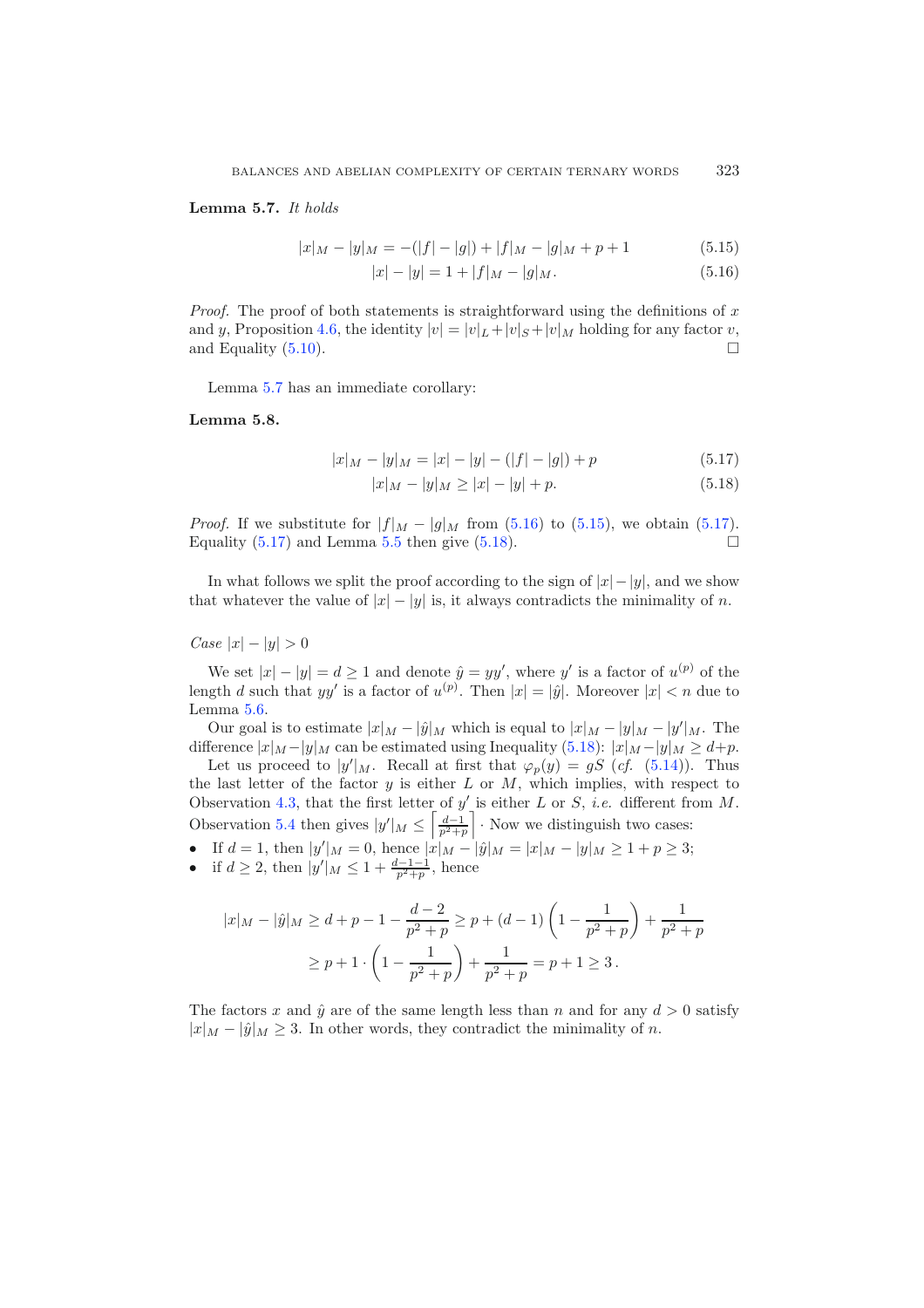**Lemma 5.7.** *It holds*

$$
|x|_M - |y|_M = -(|f| - |g|) + |f|_M - |g|_M + p + 1 \tag{5.15}
$$

<span id="page-10-3"></span><span id="page-10-2"></span><span id="page-10-1"></span><span id="page-10-0"></span>
$$
|x| - |y| = 1 + |f|_M - |g|_M. \tag{5.16}
$$

*Proof.* The proof of both statements is straightforward using the definitions of  $x$ and y, Proposition [4.6,](#page-6-3) the identity  $|v| = |v|_L + |v|_S + |v|_M$  holding for any factor v, and Equality  $(5.10)$ .  $\Box$ 

Lemma [5.7](#page-9-1) has an immediate corollary:

### **Lemma 5.8.**

$$
|x|_M - |y|_M = |x| - |y| - (|f| - |g|) + p \tag{5.17}
$$

$$
|x|_M - |y|_M \ge |x| - |y| + p. \tag{5.18}
$$

*Proof.* If we substitute for  $|f|_M - |g|_M$  from [\(5.16\)](#page-10-0) to [\(5.15\)](#page-10-1), we obtain [\(5.17\)](#page-10-2). Equality  $(5.17)$  and Lemma [5.5](#page-9-0) then give  $(5.18)$ .

In what follows we split the proof according to the sign of  $|x| - |y|$ , and we show that whatever the value of  $|x| - |y|$  is, it always contradicts the minimality of n.

*Case*  $|x| - |y| > 0$ 

We set  $|x| - |y| = d \ge 1$  and denote  $\hat{y} = yy'$ , where y' is a factor of  $u^{(p)}$  of the length d such that  $yy'$  is a factor of  $u^{(p)}$ . Then  $|x| = |\hat{y}|$ . Moreover  $|x| < n$  due to Lemma [5.6.](#page-9-2)

Our goal is to estimate  $|x|_M - |\hat{y}|_M$  which is equal to  $|x|_M - |y|_M - |y'|_M$ . The difference  $|x|_M - |y|_M$  can be estimated using Inequality [\(5.18\)](#page-10-3):  $|x|_M - |y|_M \ge d+p$ .

Let us proceed to  $|y'|_M$ . Recall at first that  $\varphi_p(y) = gS$  (*cf.* [\(5.14\)](#page-9-3)). Thus the last letter of the factor  $y$  is either  $L$  or  $M$ , which implies, with respect to Observation [4.3,](#page-5-1) that the first letter of  $y'$  is either L or S, *i.e.* different from M. Observation [5.4](#page-8-3) then gives  $|y'|_M \leq \left\lceil \frac{d-1}{p^2+p} \right\rceil$ . Now we distinguish two cases:

- If  $d = 1$ , then  $|y'|_M = 0$ , hence  $|x|_M |\hat{y}|_M = |x|_M |y|_M \ge 1 + p \ge 3$ ;
- if  $d \ge 2$ , then  $|y'|_M \le 1 + \frac{d-1-1}{p^2+p}$ , hence

$$
|x|_M - |\hat{y}|_M \ge d + p - 1 - \frac{d-2}{p^2 + p} \ge p + (d-1)\left(1 - \frac{1}{p^2 + p}\right) + \frac{1}{p^2 + p}
$$
  

$$
\ge p + 1 \cdot \left(1 - \frac{1}{p^2 + p}\right) + \frac{1}{p^2 + p} = p + 1 \ge 3.
$$

The factors x and  $\hat{y}$  are of the same length less than n and for any  $d > 0$  satisfy  $|x|_M - |\hat{y}|_M \geq 3$ . In other words, they contradict the minimality of n.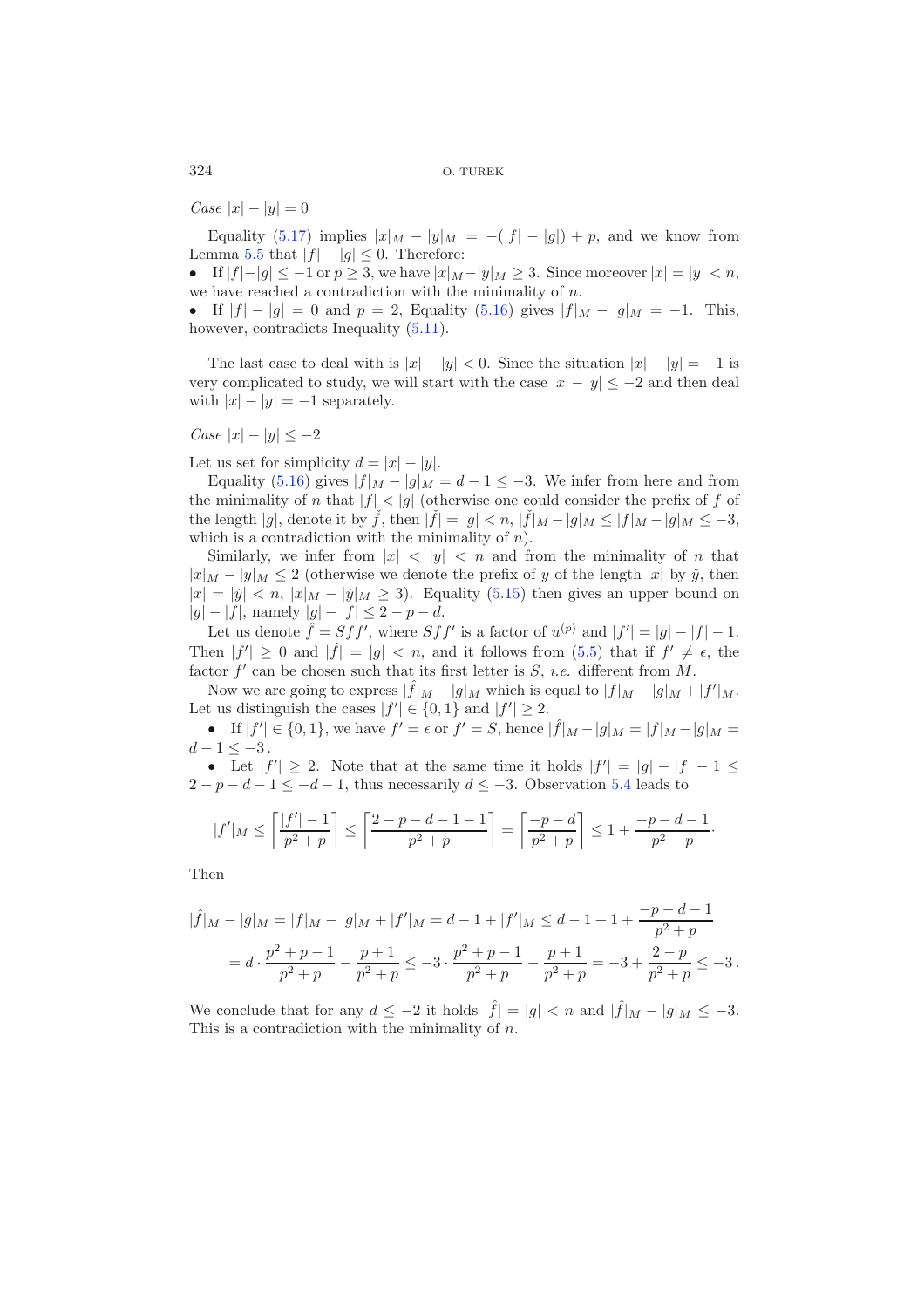*Case*  $|x| - |y| = 0$ 

Equality [\(5.17\)](#page-10-2) implies  $|x|_M - |y|_M = -(|f| - |g|) + p$ , and we know from Lemma [5.5](#page-9-0) that  $|f| - |g| \leq 0$ . Therefore:

• If  $|f|-|g|\leq -1$  or  $p\geq 3$ , we have  $|x|_M-|y|_M\geq 3$ . Since moreover  $|x|=|y|< n$ , we have reached a contradiction with the minimality of  $n$ .

• If  $|f| - |g| = 0$  and  $p = 2$ , Equality [\(5.16\)](#page-10-0) gives  $|f|_M - |g|_M = -1$ . This, however, contradicts Inequality  $(5.11)$ .

The last case to deal with is  $|x| - |y| < 0$ . Since the situation  $|x| - |y| = -1$  is very complicated to study, we will start with the case  $|x|-|y|\leq-2$  and then deal with  $|x| - |y| = -1$  separately.

Case 
$$
|x| - |y| \leq -2
$$

Let us set for simplicity  $d = |x| - |y|$ .

Equality [\(5.16\)](#page-10-0) gives  $|f|_M - |g|_M = d - 1 \leq -3$ . We infer from here and from the minimality of n that  $|f| < |g|$  (otherwise one could consider the prefix of f of the length |g|, denote it by  $\check{f}$ , then  $|\check{f}| = |g| < n$ ,  $|\check{f}|_M - |g|_M \leq |f|_M - |g|_M \leq -3$ , which is a contradiction with the minimality of  $n$ ).

Similarly, we infer from  $|x| < |y| < n$  and from the minimality of n that  $|x|_M - |y|_M \leq 2$  (otherwise we denote the prefix of y of the length |x| by  $\check{y}$ , then  $|x| = |\check{y}| < n$ ,  $|x|_M - |\check{y}|_M \ge 3$ . Equality [\(5.15\)](#page-10-1) then gives an upper bound on  $|g|-|f|$ , namely  $|g|-|f| \leq 2-p-d$ .

Let us denote  $\hat{f} = Sff'$ , where  $Sff'$  is a factor of  $u^{(p)}$  and  $|f'| = |g| - |f| - 1$ . Then  $|f'| \geq 0$  and  $|\hat{f}| = |g| < n$ , and it follows from  $(5.5)$  that if  $f' \neq \epsilon$ , the factor  $f'$  can be chosen such that its first letter is  $S$ , *i.e.* different from  $M$ .

Now we are going to express  $|\hat{f}|_M - |g|_M$  which is equal to  $|f|_M - |g|_M + |f'|_M$ . Let us distinguish the cases  $|f'| \in \{0, 1\}$  and  $|f'| \geq 2$ .

• If  $|f'| \in \{0, 1\}$ , we have  $f' = \epsilon$  or  $f' = S$ , hence  $|\hat{f}|_M - |g|_M = |f|_M - |g|_M =$  $d - 1 \leq -3$ .

• Let  $|f'| \geq 2$ . Note that at the same time it holds  $|f'| = |g| - |f| - 1 \leq$  $2 - p - d - 1 \le -d - 1$ , thus necessarily  $d \le -3$ . Observation [5.4](#page-8-3) leads to

$$
|f'|_M \le \left\lceil \frac{|f'|-1}{p^2+p} \right\rceil \le \left\lceil \frac{2-p-d-1-1}{p^2+p} \right\rceil = \left\lceil \frac{-p-d}{p^2+p} \right\rceil \le 1 + \frac{-p-d-1}{p^2+p}.
$$

Then

$$
|\widehat{f}|_M - |g|_M = |f|_M - |g|_M + |f'|_M = d - 1 + |f'|_M \le d - 1 + 1 + \frac{-p - d - 1}{p^2 + p}
$$
  
=  $d \cdot \frac{p^2 + p - 1}{p^2 + p} - \frac{p + 1}{p^2 + p} \le -3 \cdot \frac{p^2 + p - 1}{p^2 + p} - \frac{p + 1}{p^2 + p} = -3 + \frac{2 - p}{p^2 + p} \le -3$ .

We conclude that for any  $d \leq -2$  it holds  $|\hat{f}| = |g| < n$  and  $|\hat{f}|_M - |g|_M \leq -3$ . This is a contradiction with the minimality of n.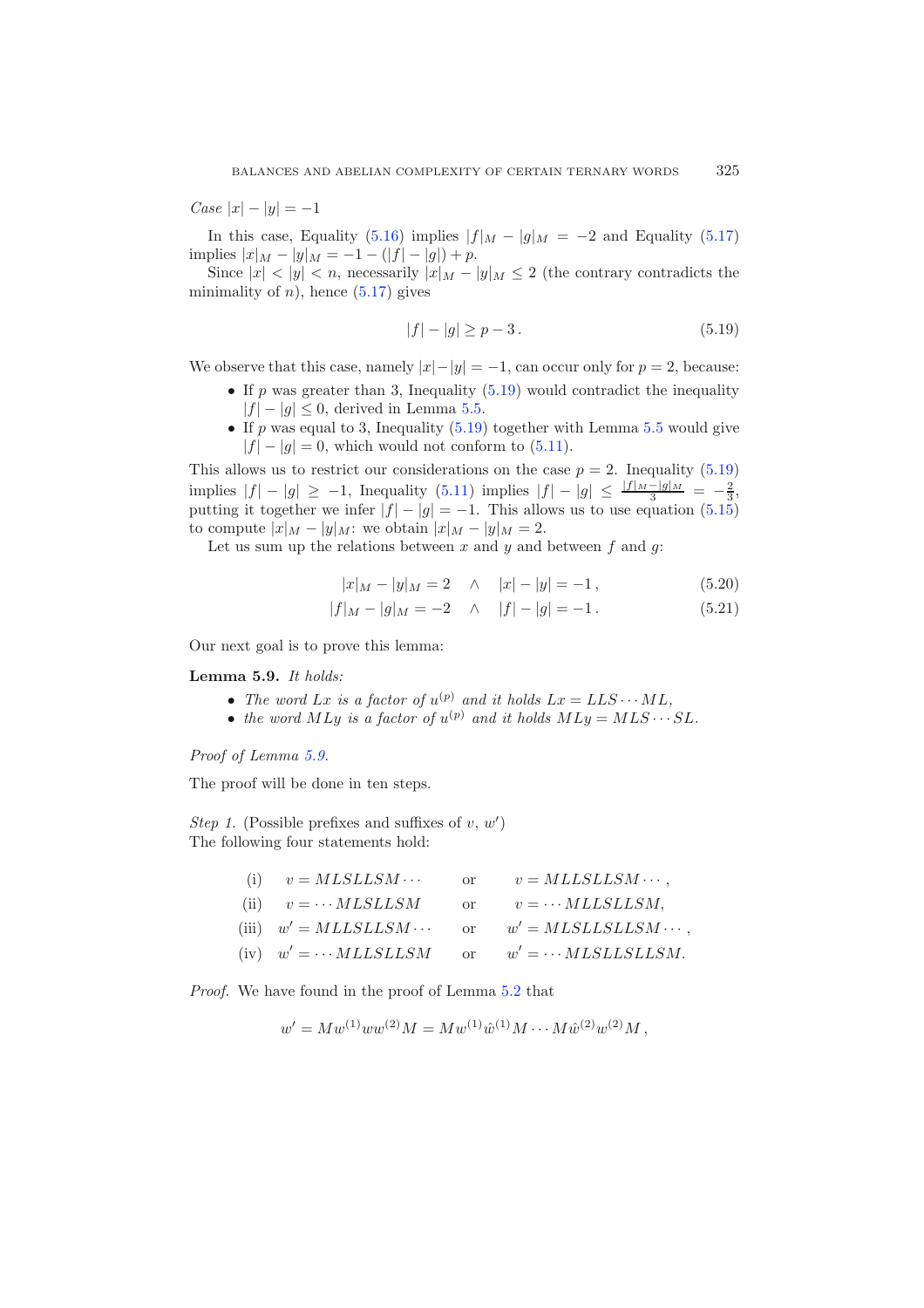<span id="page-12-0"></span>*Case*  $|x| - |y| = -1$ 

In this case, Equality [\(5.16\)](#page-10-0) implies  $|f|_M - |g|_M = -2$  and Equality [\(5.17\)](#page-10-2) implies  $|x|_M - |y|_M = -1 - (|f| - |g|) + p$ .

Since  $|x| < |y| < n$ , necessarily  $|x|_M - |y|_M \leq 2$  (the contrary contradicts the minimality of  $n$ ), hence  $(5.17)$  gives

<span id="page-12-3"></span><span id="page-12-2"></span>
$$
|f| - |g| \ge p - 3. \tag{5.19}
$$

We observe that this case, namely  $|x| - |y| = -1$ , can occur only for  $p = 2$ , because:

- If p was greater than 3, Inequality  $(5.19)$  would contradict the inequality  $|f| - |q| \leq 0$ , derived in Lemma [5.5.](#page-9-0)
- If p was equal to 3, Inequality  $(5.19)$  together with Lemma [5.5](#page-9-0) would give  $|f| - |g| = 0$ , which would not conform to [\(5.11\)](#page-8-1).

This allows us to restrict our considerations on the case  $p = 2$ . Inequality [\(5.19\)](#page-12-0) implies  $|f| - |g| \ge -1$ , Inequality [\(5.11\)](#page-8-1) implies  $|f| - |g| \le \frac{|f|_M - |g|M}{3} = -\frac{2}{3}$ , putting it together we infer  $|f| - |g| = -1$ . This allows us to use equation [\(5.15\)](#page-10-1) to compute  $|x|_M - |y|_M$ : we obtain  $|x|_M - |y|_M = 2$ .

Let us sum up the relations between  $x$  and  $y$  and between  $f$  and  $g$ :

$$
|x|_M - |y|_M = 2 \quad \land \quad |x| - |y| = -1, \tag{5.20}
$$

$$
|f|_M - |g|_M = -2 \quad \wedge \quad |f| - |g| = -1. \tag{5.21}
$$

<span id="page-12-1"></span>Our next goal is to prove this lemma:

**Lemma 5.9.** *It holds:*

- *The word*  $Lx$  *is a factor of*  $u^{(p)}$  *and it holds*  $Lx = LLS \cdots ML$ ,
- the word MLy is a factor of  $u^{(p)}$  and it holds  $MLy = MLS \cdots SL$ .

*Proof of Lemma [5.9.](#page-12-1)*

The proof will be done in ten steps.

*Step 1.* (Possible prefixes and suffixes of  $v, w'$ ) The following four statements hold:

|  | (i) $v = MLSLLSM \cdots$ or $v = MLLSLLSM \cdots$ ,       |
|--|-----------------------------------------------------------|
|  | (ii) $v = \cdots MLSLLSM$ or $v = \cdots MLLSLLSM$ ,      |
|  | (iii) $w' = MLSLLSM \cdots$ or $w' = MLSLLSLLSM \cdots$ , |
|  | (iv) $w' = \cdots MLLSLLSM$ or $w' = \cdots MLSLLSLLSM$ . |

*Proof.* We have found in the proof of Lemma [5.2](#page-7-4) that

$$
w' = M w^{(1)} w w^{(2)} M = M w^{(1)} \hat{w}^{(1)} M \cdots M \hat{w}^{(2)} w^{(2)} M,
$$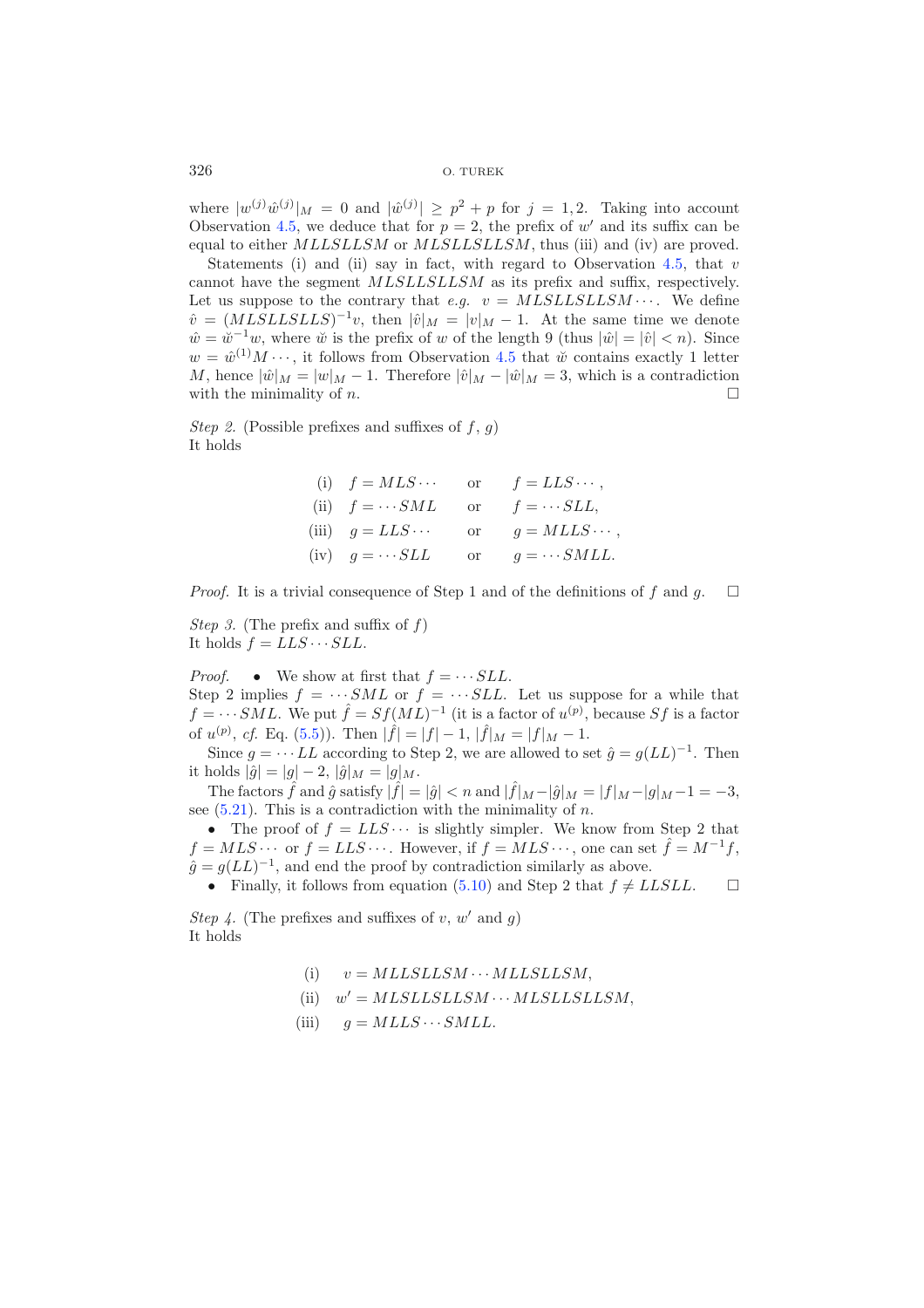where  $|w^{(j)}\hat{w}^{(j)}|_M = 0$  and  $|\hat{w}^{(j)}| \geq p^2 + p$  for  $j = 1, 2$ . Taking into account Observation [4.5,](#page-5-3) we deduce that for  $p = 2$ , the prefix of w' and its suffix can be equal to either MLLSLLSM or MLSLLSLLSM, thus (iii) and (iv) are proved.

Statements (i) and (ii) say in fact, with regard to Observation [4.5,](#page-5-3) that  $v$ cannot have the segment MLSLLSLLSM as its prefix and suffix, respectively. Let us suppose to the contrary that *e.g.*  $v = MLSLLSLLSM\cdots$ . We define  $\hat{v} = (MLSLLS/LS)^{-1}v$ , then  $|\hat{v}|_M = |v|_M - 1$ . At the same time we denote  $\hat{w} = \hat{w}^{-1}w$ , where  $\check{w}$  is the prefix of w of the length 9 (thus  $|\hat{w}| = |\hat{v}| < n$ ). Since  $w = \hat{w}^{(1)}M \cdots$ , it follows from Observation [4.5](#page-5-3) that  $\check{w}$  contains exactly 1 letter M, hence  $|\hat{w}|_M = |w|_M - 1$ . Therefore  $|\hat{v}|_M - |\hat{w}|_M = 3$ , which is a contradiction with the minimality of  $n$ .  $\Box$ 

*Step 2.* (Possible prefixes and suffixes of  $f$ ,  $g$ ) It holds

(i) 
$$
f = MLS \cdots
$$
 or  $f = LLS \cdots$ ,  
\n(ii)  $f = \cdots SML$  or  $f = \cdots SLL$ ,  
\n(iii)  $g = LLS \cdots$  or  $g = MLLS \cdots$ ,  
\n(iv)  $g = \cdots SLL$  or  $g = \cdots SMLL$ .

*Proof.* It is a trivial consequence of Step 1 and of the definitions of  $f$  and  $g$ .  $\Box$ 

*Step 3.* (The prefix and suffix of  $f$ ) It holds  $f = LLS \cdots SLL$ .

*Proof.* • We show at first that  $f = \cdots SLL$ . Step 2 implies  $f = \cdots SML$  or  $f = \cdots SLL$ . Let us suppose for a while that  $f = \cdots SML$ . We put  $\hat{f} = Sf(ML)^{-1}$  (it is a factor of  $u^{(p)}$ , because Sf is a factor of  $u^{(p)}$ , *cf.* Eq. [\(5.5\)](#page-7-5)). Then  $|\hat{f}| = |f| - 1$ ,  $|\hat{f}|_M = |f|_M - 1$ .

Since  $g = \cdots LL$  according to Step 2, we are allowed to set  $\hat{g} = g(LL)^{-1}$ . Then it holds  $|\hat{g}| = |g| - 2$ ,  $|\hat{g}|_M = |g|_M$ .

The factors  $\hat{f}$  and  $\hat{g}$  satisfy  $|\hat{f}| = |\hat{g}| < n$  and  $|\hat{f}|_M - |\hat{g}|_M = |f|_M - |g|_M - 1 = -3$ , see  $(5.21)$ . This is a contradiction with the minimality of n.

• The proof of  $f = LLS \cdots$  is slightly simpler. We know from Step 2 that  $f = MLS \cdots$  or  $f = LLS \cdots$ . However, if  $f = MLS \cdots$ , one can set  $\hat{f} = M^{-1}f$ ,  $\hat{q} = q(LL)^{-1}$ , and end the proof by contradiction similarly as above.

• Finally, it follows from equation [\(5.10\)](#page-8-0) and Step 2 that  $f \neq LLSLL$ .  $\Box$ 

*Step 4.* (The prefixes and suffixes of v, w' and q) It holds

- (i)  $v = MLLSLLSM \cdots MLLSLLSM$ ,
- (ii)  $w' = MLSLLSLLSM \cdots MLSLLSLLSM,$
- (iii)  $q = MLLS \cdots SMLL$ .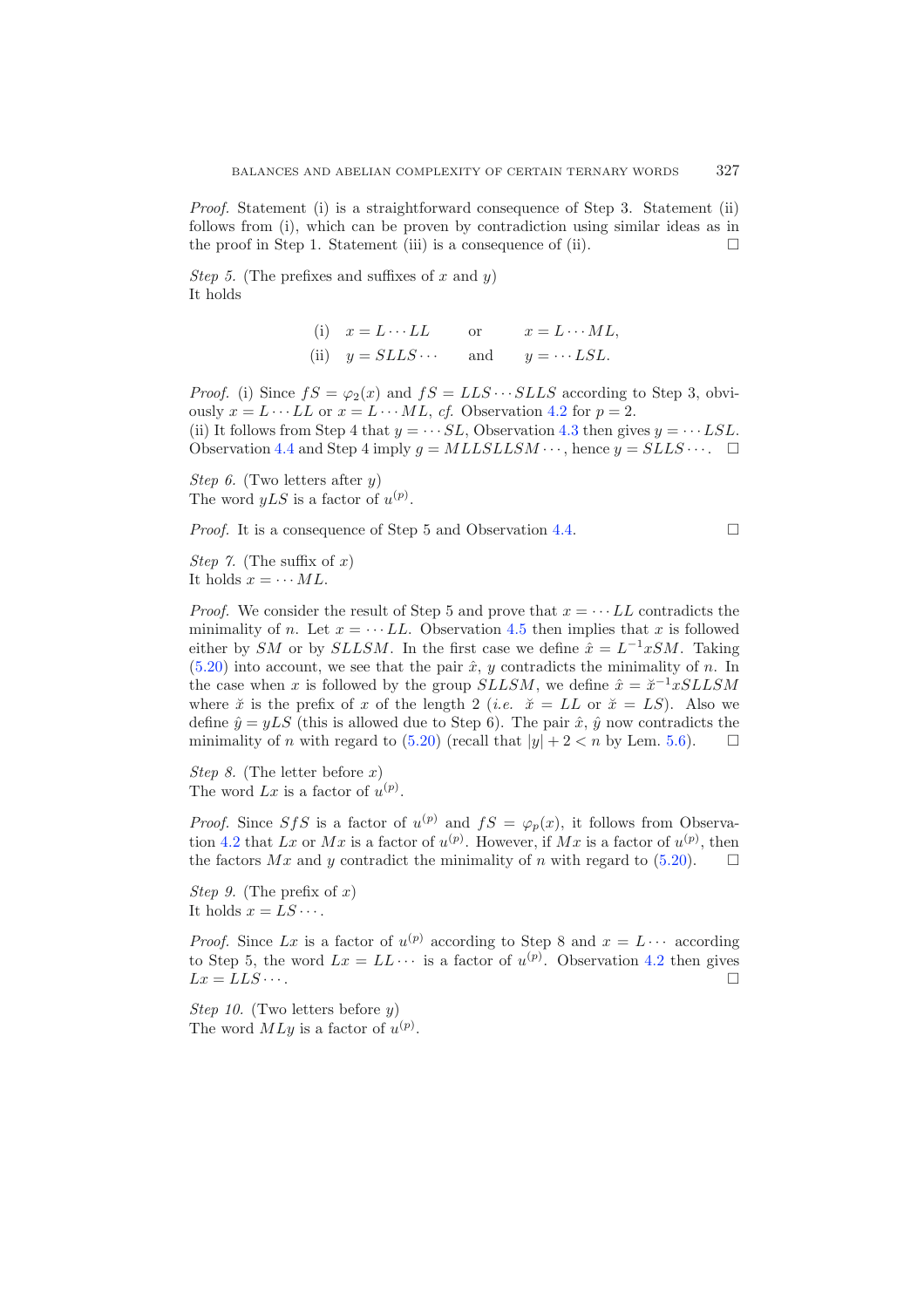*Proof.* Statement (i) is a straightforward consequence of Step 3. Statement (ii) follows from (i), which can be proven by contradiction using similar ideas as in the proof in Step 1. Statement (iii) is a consequence of (ii).  $\Box$ 

*Step 5.* (The prefixes and suffixes of x and y) It holds

> (i)  $x = L \cdots LL$  or  $x = L \cdots ML$ , (ii)  $y = SLLS \cdots$  and  $y = \cdots LSL$ .

*Proof.* (i) Since  $fS = \varphi_2(x)$  and  $fS = LLS \cdots SLLS$  according to Step 3, obviously  $x = L \cdots LL$  or  $x = L \cdots ML$ , *cf.* Observation [4.2](#page-5-0) for  $p = 2$ . (ii) It follows from Step 4 that  $y = \cdots SL$ , Observation [4.3](#page-5-1) then gives  $y = \cdots LSL$ .

Observation [4.4](#page-5-2) and Step 4 imply  $g = MLLSLLSM \cdots$ , hence  $y = SLLS \cdots$ .  $\Box$ 

*Step 6.* (Two letters after y) The word  $yLS$  is a factor of  $u^{(p)}$ .

*Proof.* It is a consequence of Step 5 and Observation [4.4.](#page-5-2)

 $\Box$ 

*Step 7.* (The suffix of x) It holds  $x = \cdots ML$ .

*Proof.* We consider the result of Step 5 and prove that  $x = \cdots LL$  contradicts the minimality of n. Let  $x = \cdots LL$ . Observation [4.5](#page-5-3) then implies that x is followed either by SM or by SLLSM. In the first case we define  $\hat{x} = L^{-1}xSM$ . Taking  $(5.20)$  into account, we see that the pair  $\hat{x}$ , y contradicts the minimality of n. In the case when x is followed by the group  $SLLSM$ , we define  $\hat{x} = \check{x}^{-1}xSLLSM$ where  $\check{x}$  is the prefix of x of the length 2 (*i.e.*  $\check{x} = LL$  or  $\check{x} = LS$ ). Also we define  $\hat{y} = yLS$  (this is allowed due to Step 6). The pair  $\hat{x}$ ,  $\hat{y}$  now contradicts the minimality of *n* with regard to  $(5.20)$  (recall that  $|y| + 2 < n$  by Lem. [5.6\)](#page-9-2).  $\Box$ 

*Step 8.* (The letter before x) The word  $Lx$  is a factor of  $u^{(p)}$ .

*Proof.* Since SfS is a factor of  $u^{(p)}$  and  $fS = \varphi_p(x)$ , it follows from Observa-tion [4.2](#page-5-0) that Lx or Mx is a factor of  $u^{(p)}$ . However, if Mx is a factor of  $u^{(p)}$ , then the factors Mx and y contradict the minimality of n with regard to  $(5.20)$ .  $\Box$ 

*Step 9.* (The prefix of x) It holds  $x = LS \cdots$ .

*Proof.* Since Lx is a factor of  $u^{(p)}$  according to Step 8 and  $x = L \cdots$  according to Step 5, the word  $Lx = LL \cdots$  is a factor of  $u^{(p)}$ . Observation [4.2](#page-5-0) then gives  $Lx = LLS \cdots$ .

*Step 10.* (Two letters before y) The word  $MLy$  is a factor of  $u^{(p)}$ .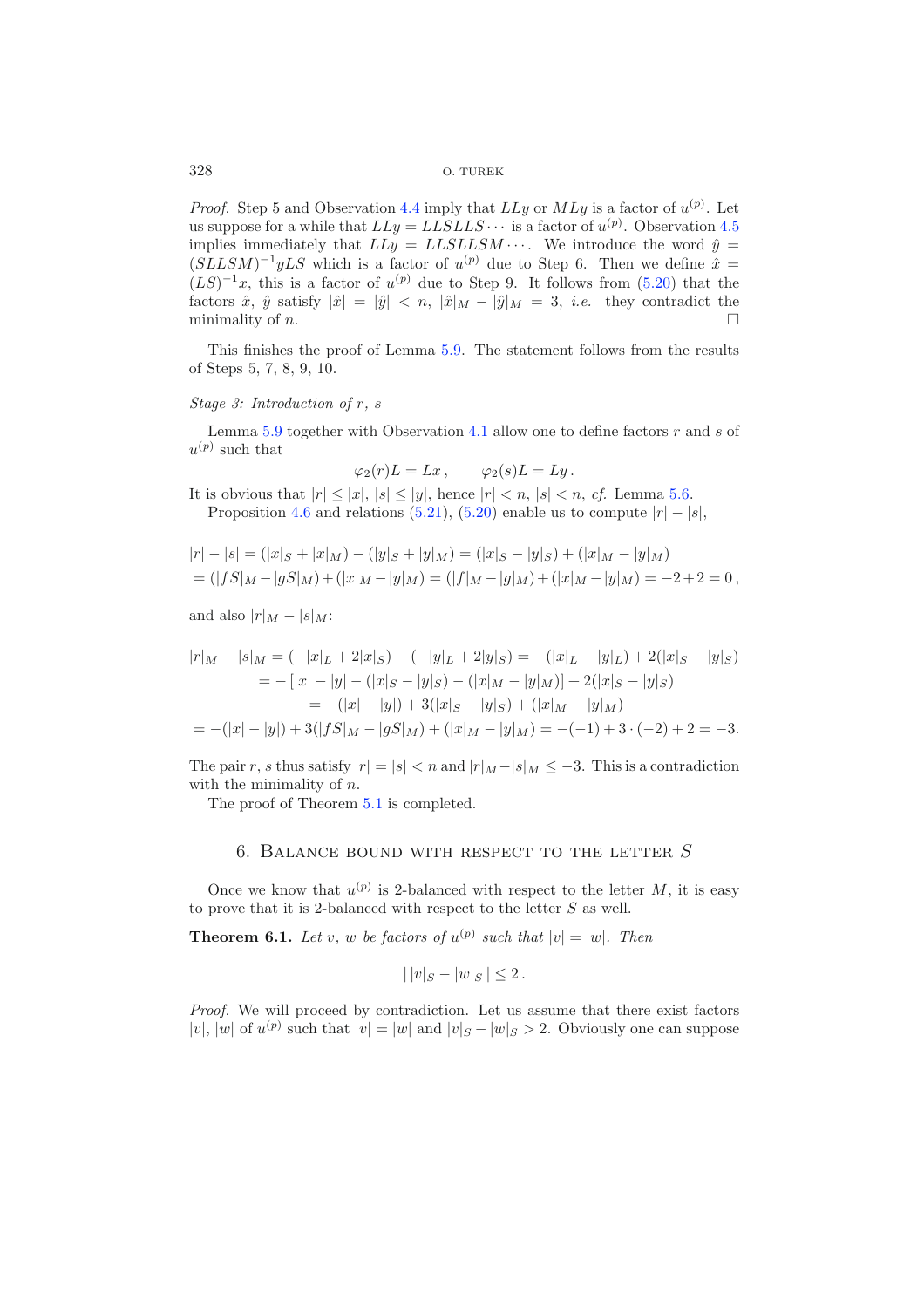*Proof.* Step 5 and Observation [4.4](#page-5-2) imply that  $LLy$  or  $MLy$  is a factor of  $u^{(p)}$ . Let us suppose for a while that  $LLy = LLSLLS \cdots$  is a factor of  $u^{(p)}$ . Observation [4.5](#page-5-3) implies immediately that  $LLy = LLSLLSM \cdots$ . We introduce the word  $\hat{y}$  =  $(SLLSM)^{-1}yLS$  which is a factor of  $u^{(p)}$  due to Step 6. Then we define  $\tilde{x} =$  $(LS)^{-1}x$ , this is a factor of  $u^{(p)}$  due to Step 9. It follows from [\(5.20\)](#page-12-3) that the factors  $\hat{x}$ ,  $\hat{y}$  satisfy  $|\hat{x}| = |\hat{y}| < n$ ,  $|\hat{x}|_M - |\hat{y}|_M = 3$ , *i.e.* they contradict the minimality of  $n$ .

This finishes the proof of Lemma [5.9.](#page-12-1) The statement follows from the results of Steps 5, 7, 8, 9, 10.

#### *Stage 3: Introduction of* r*,* s

Lemma  $5.9$  together with Observation  $4.1$  allow one to define factors r and s of  $u^{(p)}$  such that

$$
\varphi_2(r)L = Lx \,, \qquad \varphi_2(s)L = Ly \,.
$$

It is obvious that  $|r| \leq |x|, |s| \leq |y|$ , hence  $|r| < n, |s| < n$ , *cf.* Lemma [5.6.](#page-9-2) Proposition [4.6](#page-6-3) and relations [\(5.21\)](#page-12-2), [\(5.20\)](#page-12-3) enable us to compute  $|r| - |s|$ ,

$$
|r| - |s| = (|x|_S + |x|_M) - (|y|_S + |y|_M) = (|x|_S - |y|_S) + (|x|_M - |y|_M)
$$
  
= (|fS|\_M - |gS|\_M) + (|x|\_M - |y|\_M) = (|f|\_M - |g|\_M) + (|x|\_M - |y|\_M) = -2 + 2 = 0,

and also  $|r|_M - |s|_M$ :

$$
|r|_M - |s|_M = (-|x|_L + 2|x|_S) - (-|y|_L + 2|y|_S) = -(|x|_L - |y|_L) + 2(|x|_S - |y|_S)
$$
  
\n
$$
= -[|x| - |y| - (|x|_S - |y|_S) - (|x|_M - |y|_M)] + 2(|x|_S - |y|_S)
$$
  
\n
$$
= -(|x| - |y|) + 3(|x|_S - |y|_S) + (|x|_M - |y|_M)
$$
  
\n
$$
= -(|x| - |y|) + 3(|fS|_M - |gS|_M) + (|x|_M - |y|_M) = -(-1) + 3 \cdot (-2) + 2 = -3.
$$

The pair r, s thus satisfy  $|r| = |s| < n$  and  $|r|_M - |s|_M \leq -3$ . This is a contradiction with the minimality of  $n$ .

The proof of Theorem [5.1](#page-6-0) is completed.

# 6. Balance bound with respect to the letter *S*

<span id="page-15-0"></span>Once we know that  $u^{(p)}$  is 2-balanced with respect to the letter M, it is easy to prove that it is 2-balanced with respect to the letter S as well.

**Theorem 6.1.** Let v, w be factors of  $u^{(p)}$  such that  $|v| = |w|$ . Then

$$
|\,|v|_S - |w|_S\,| \leq 2.
$$

*Proof.* We will proceed by contradiction. Let us assume that there exist factors |v|, |w| of  $u^{(p)}$  such that  $|v| = |w|$  and  $|v|_S - |w|_S > 2$ . Obviously one can suppose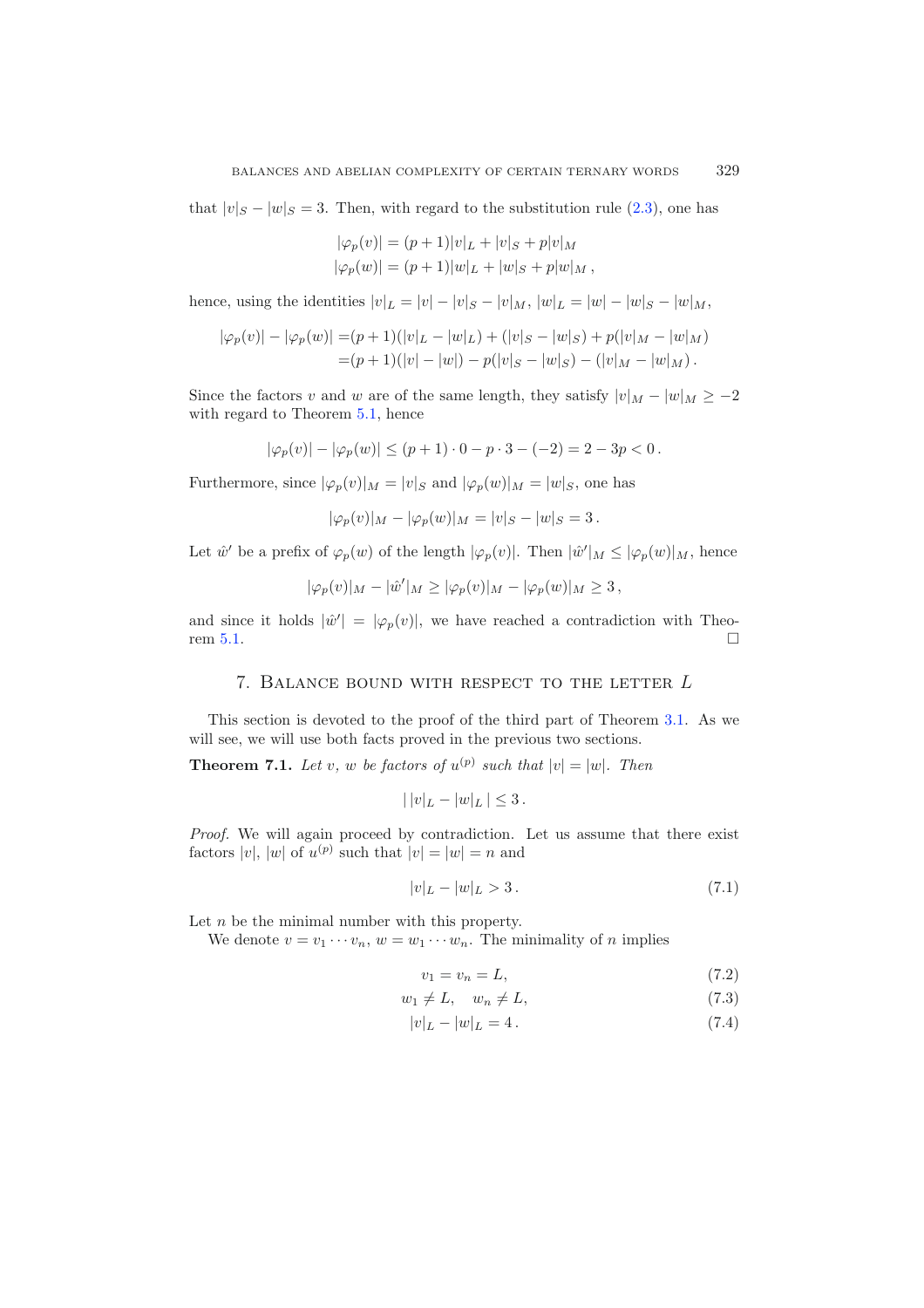that  $|v|_S - |w|_S = 3$ . Then, with regard to the substitution rule [\(2.3\)](#page-3-1), one has

$$
|\varphi_p(v)| = (p+1)|v|_L + |v|_S + p|v|_M
$$
  

$$
|\varphi_p(w)| = (p+1)|w|_L + |w|_S + p|w|_M,
$$

hence, using the identities  $|v|_L = |v| - |v|_S - |v|_M$ ,  $|w|_L = |w| - |w|_S - |w|_M$ ,

$$
|\varphi_p(v)| - |\varphi_p(w)| = (p+1)(|v|_L - |w|_L) + (|v|_S - |w|_S) + p(|v|_M - |w|_M)
$$
  
= (p+1)(|v| - |w|) - p(|v|\_S - |w|\_S) - (|v|\_M - |w|\_M).

Since the factors v and w are of the same length, they satisfy  $|v|_M - |w|_M \ge -2$ with regard to Theorem [5.1,](#page-6-0) hence

$$
|\varphi_p(v)| - |\varphi_p(w)| \le (p+1) \cdot 0 - p \cdot 3 - (-2) = 2 - 3p < 0.
$$

Furthermore, since  $|\varphi_p(v)|_M = |v|_S$  and  $|\varphi_p(w)|_M = |w|_S$ , one has

$$
|\varphi_p(v)|_M - |\varphi_p(w)|_M = |v|_S - |w|_S = 3.
$$

Let  $\hat{w}'$  be a prefix of  $\varphi_p(w)$  of the length  $|\varphi_p(v)|$ . Then  $|\hat{w}'|_M \leq |\varphi_p(w)|_M$ , hence

$$
|\varphi_p(v)|_M - |\hat{w}'|_M \ge |\varphi_p(v)|_M - |\varphi_p(w)|_M \ge 3,
$$

and since it holds  $|\hat{w}'| = |\varphi_p(v)|$ , we have reached a contradiction with Theo-rem [5.1.](#page-6-0)  $\Box$ 

# 7. Balance bound with respect to the letter *L*

<span id="page-16-0"></span>This section is devoted to the proof of the third part of Theorem [3.1.](#page-4-1) As we will see, we will use both facts proved in the previous two sections.

**Theorem 7.1.** Let v, w be factors of  $u^{(p)}$  such that  $|v| = |w|$ . Then

$$
|\,|v|_L - |w|_L\,| \leq 3.
$$

*Proof.* We will again proceed by contradiction. Let us assume that there exist factors |v|, |w| of  $u^{(p)}$  such that  $|v| = |w| = n$  and

$$
|v|_L - |w|_L > 3. \t\t(7.1)
$$

Let  $n$  be the minimal number with this property.

We denote  $v = v_1 \cdots v_n$ ,  $w = w_1 \cdots w_n$ . The minimality of *n* implies

$$
v_1 = v_n = L,\tag{7.2}
$$

$$
w_1 \neq L, \quad w_n \neq L,\tag{7.3}
$$

$$
|v|_L - |w|_L = 4.
$$
\n(7.4)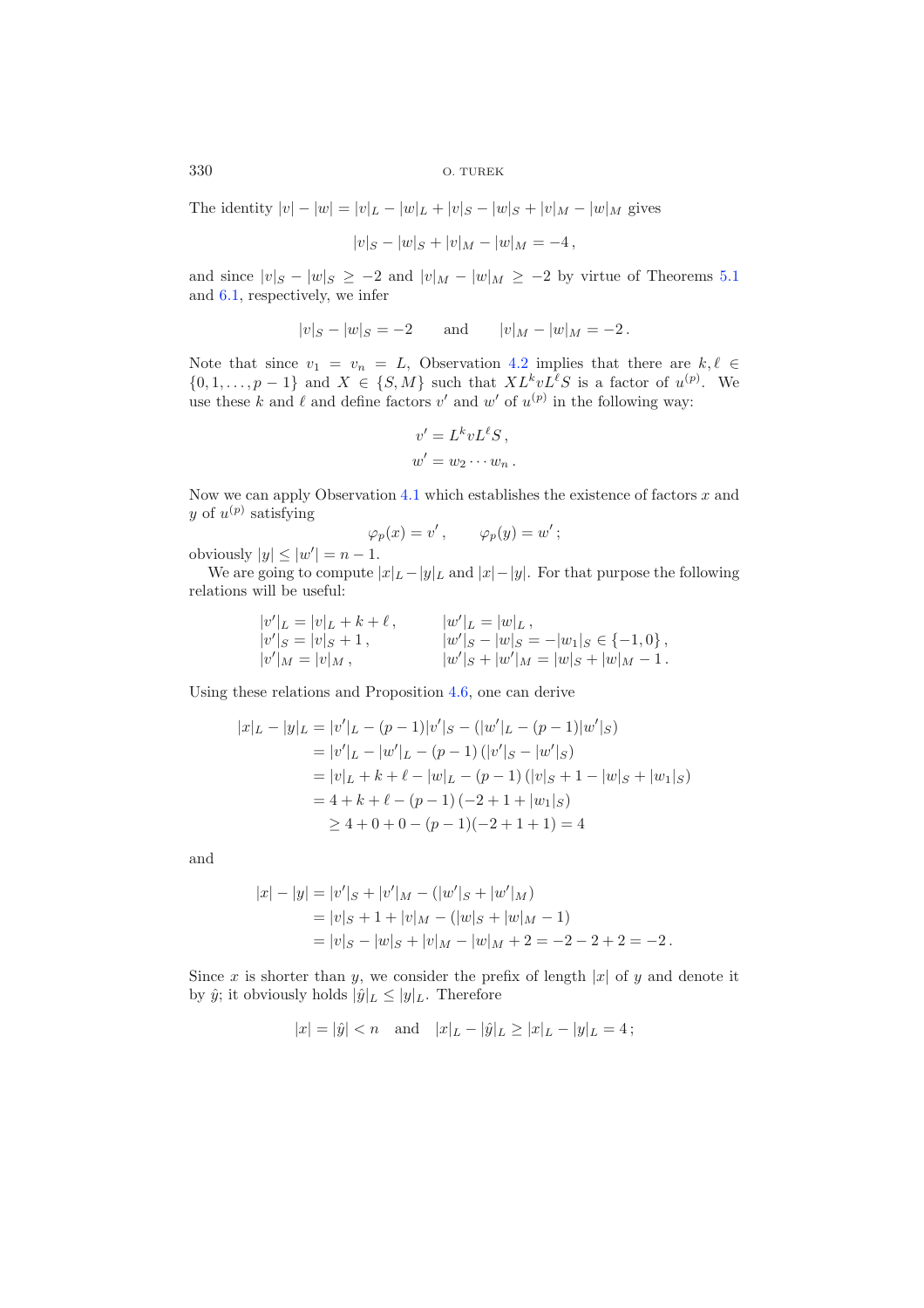The identity  $|v| - |w| = |v|_L - |w|_L + |v|_S - |w|_S + |v|_M - |w|_M$  gives

$$
|v|_S - |w|_S + |v|_M - |w|_M = -4,
$$

and since  $|v|_S - |w|_S \geq -2$  and  $|v|_M - |w|_M \geq -2$  by virtue of Theorems [5.1](#page-6-0) and [6.1,](#page-15-0) respectively, we infer

$$
|v|_S - |w|_S = -2
$$
 and  $|v|_M - |w|_M = -2$ .

Note that since  $v_1 = v_n = L$ , Observation [4.2](#page-5-0) implies that there are  $k, \ell \in$  $\{0,1,\ldots,p-1\}$  and  $X \in \{S,M\}$  such that  $XL^kvL^{\ell}S$  is a factor of  $u^{(p)}$ . We use these k and  $\ell$  and define factors v' and w' of  $u^{(p)}$  in the following way:

$$
v' = L^k v L^{\ell} S,
$$
  

$$
w' = w_2 \cdots w_n.
$$

Now we can apply Observation [4.1](#page-4-0) which establishes the existence of factors  $x$  and y of  $u^{(p)}$  satisfying

$$
\varphi_p(x) = v', \qquad \varphi_p(y) = w';
$$

obviously  $|y| \leq |w'| = n - 1$ .

We are going to compute  $|x|_L - |y|_L$  and  $|x| - |y|$ . For that purpose the following relations will be useful:

$$
\begin{aligned}\n|v'|_L &= |v|_L + k + \ell, & |w'|_L &= |w|_L, \\
|v'|_S &= |v|_S + 1, & |w'|_S - |w|_S &= -|w_1|_S \in \{-1, 0\}, \\
|v'|_M &= |v|_M, & |w'|_S + |w'|_M &= |w|_S + |w|_M - 1.\n\end{aligned}
$$

Using these relations and Proposition [4.6,](#page-6-3) one can derive

$$
|x|_L - |y|_L = |v'|_L - (p-1)|v'|_S - (|w'|_L - (p-1)|w'|_S)
$$
  
\n
$$
= |v'|_L - |w'|_L - (p-1)(|v'|_S - |w'|_S)
$$
  
\n
$$
= |v|_L + k + \ell - |w|_L - (p-1)(|v|_S + 1 - |w|_S + |w_1|_S)
$$
  
\n
$$
= 4 + k + \ell - (p-1)(-2 + 1 + |w_1|_S)
$$
  
\n
$$
\geq 4 + 0 + 0 - (p-1)(-2 + 1 + 1) = 4
$$

and

$$
|x| - |y| = |v'|_S + |v'|_M - (|w'|_S + |w'|_M)
$$
  
= |v|\_S + 1 + |v|\_M - (|w|\_S + |w|\_M - 1)  
= |v|\_S - |w|\_S + |v|\_M - |w|\_M + 2 = -2 - 2 + 2 = -2.

Since x is shorter than y, we consider the prefix of length  $|x|$  of y and denote it by  $\hat{y}$ ; it obviously holds  $|\hat{y}|_L \leq |y|_L$ . Therefore

$$
|x| = |\hat{y}| < n
$$
 and  $|x|_L - |\hat{y}|_L \ge |x|_L - |y|_L = 4$ ;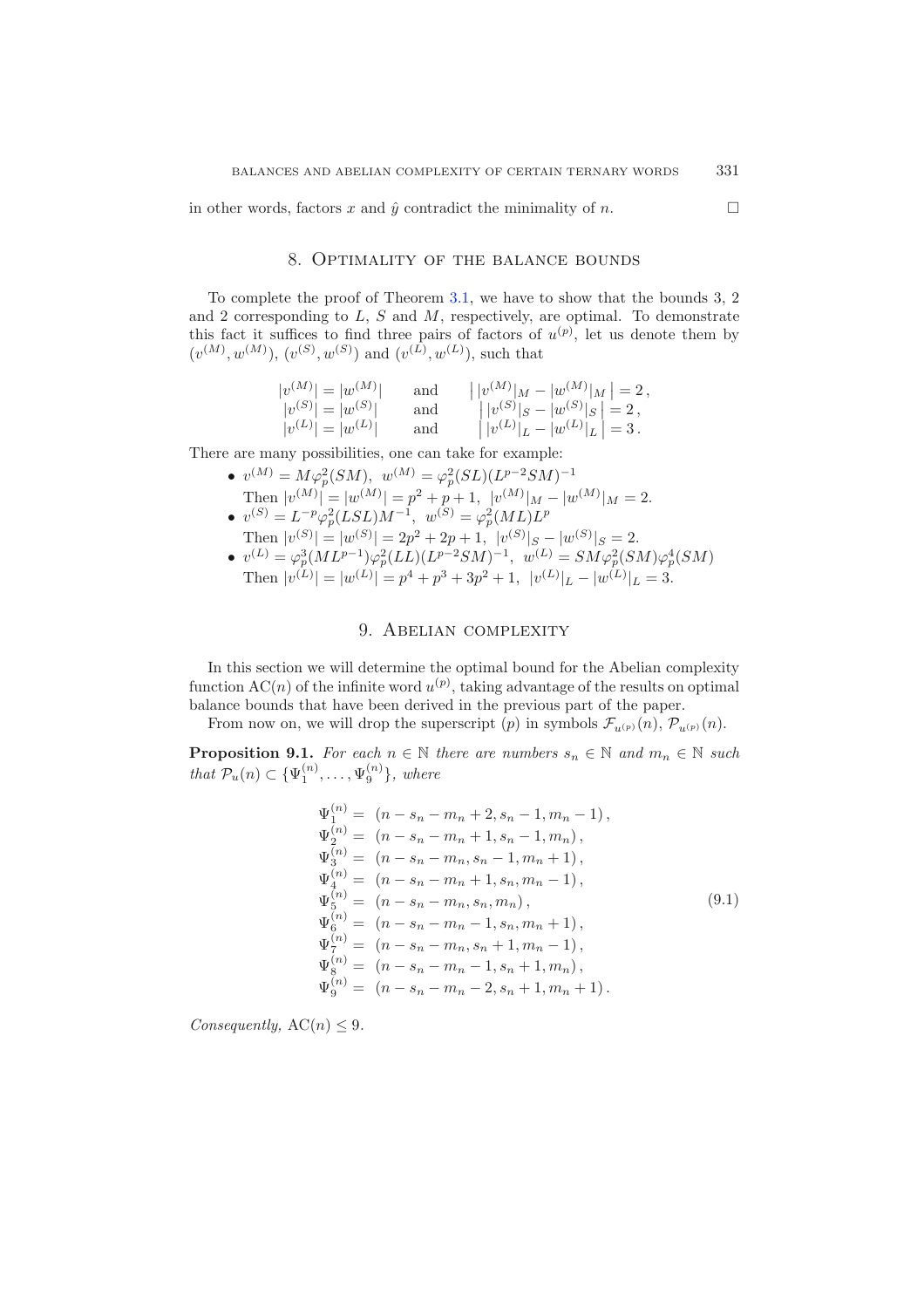in other words, factors x and  $\hat{y}$  contradict the minimality of n.

# 8. Optimality of the balance bounds

To complete the proof of Theorem [3.1,](#page-4-1) we have to show that the bounds 3, 2 and 2 corresponding to  $L, S$  and  $M$ , respectively, are optimal. To demonstrate this fact it suffices to find three pairs of factors of  $u^{(p)}$ , let us denote them by  $(v^{(M)}, w^{(M)}), (v^{(S)}, w^{(S)})$  and  $(v^{(L)}, w^{(L)}),$  such that

| $ v^{(M)}  =  w^{(M)} $ | and | $ v^{(M)} _M -  w^{(M)} _M  = 2,$                   |
|-------------------------|-----|-----------------------------------------------------|
| $ v^{(S)}  =  w^{(S)} $ | and | $\left   v^{(S)} _{S} -  w^{(S)} _{S} \right  = 2,$ |
| $ v^{(L)}  =  w^{(L)} $ | and | $ v^{(L)} _{L} -  w^{(L)} _{L}  = 3.$               |

There are many possibilities, one can take for example:

- $v^{(M)} = M \varphi_p^2(SM), \ w^{(M)} = \varphi_p^2(SL)(L^{p-2}SM)^{-1}$ Then  $|v^{(M)}| = |w^{(M)}| = p^2 + p + 1$ ,  $|v^{(M)}|_{M} - |w^{(M)}|_{M} = 2$ . •  $v^{(S)} = L^{-p} \varphi_p^2 (LSL) M^{-1}, \ w^{(S)} = \varphi_p^2 (ML) L^p$
- Then  $|v^{(S)}| = |w^{(S)}| = 2p^2 + 2p + 1$ ,  $|v^{(S)}|_S |w^{(S)}|_S = 2$ . •  $v^{(L)} = \varphi_p^3(ML^{p-1})\varphi_p^2(LL)(L^{p-2}SM)^{-1}, \ \ w^{(L)} = SM\varphi_p^2(SM)\varphi_p^4(SM)$ Then  $|v^{(L)}| = |w^{(L)}| = p^4 + p^3 + 3p^2 + 1$ ,  $|v^{(L)}|_L - |w^{(L)}|_L = 3$ .

# 9. Abelian complexity

<span id="page-18-0"></span>In this section we will determine the optimal bound for the Abelian complexity function  $AC(n)$  of the infinite word  $u^{(p)}$ , taking advantage of the results on optimal balance bounds that have been derived in the previous part of the paper.

From now on, we will drop the superscript (p) in symbols  $\mathcal{F}_{u^{(p)}}(n)$ ,  $\mathcal{P}_{u^{(p)}}(n)$ .

<span id="page-18-1"></span>**Proposition 9.1.** *For each*  $n \in \mathbb{N}$  *there are numbers*  $s_n \in \mathbb{N}$  *and*  $m_n \in \mathbb{N}$  *such that*  $\mathcal{P}_u(n) \subset {\Psi_1^{(n)}, \ldots, \Psi_9^{(n)}}$ , *where* 

$$
\Psi_1^{(n)} = (n - s_n - m_n + 2, s_n - 1, m_n - 1),
$$
  
\n
$$
\Psi_2^{(n)} = (n - s_n - m_n + 1, s_n - 1, m_n),
$$
  
\n
$$
\Psi_3^{(n)} = (n - s_n - m_n, s_n - 1, m_n + 1),
$$
  
\n
$$
\Psi_4^{(n)} = (n - s_n - m_n + 1, s_n, m_n - 1),
$$
  
\n
$$
\Psi_5^{(n)} = (n - s_n - m_n, s_n, m_n),
$$
  
\n
$$
\Psi_6^{(n)} = (n - s_n - m_n - 1, s_n, m_n + 1),
$$
  
\n
$$
\Psi_7^{(n)} = (n - s_n - m_n, s_n + 1, m_n - 1),
$$
  
\n
$$
\Psi_8^{(n)} = (n - s_n - m_n - 1, s_n + 1, m_n),
$$
  
\n
$$
\Psi_9^{(n)} = (n - s_n - m_n - 2, s_n + 1, m_n + 1).
$$
\n(9.1)

*Consequently,*  $AC(n) \leq 9$ *.*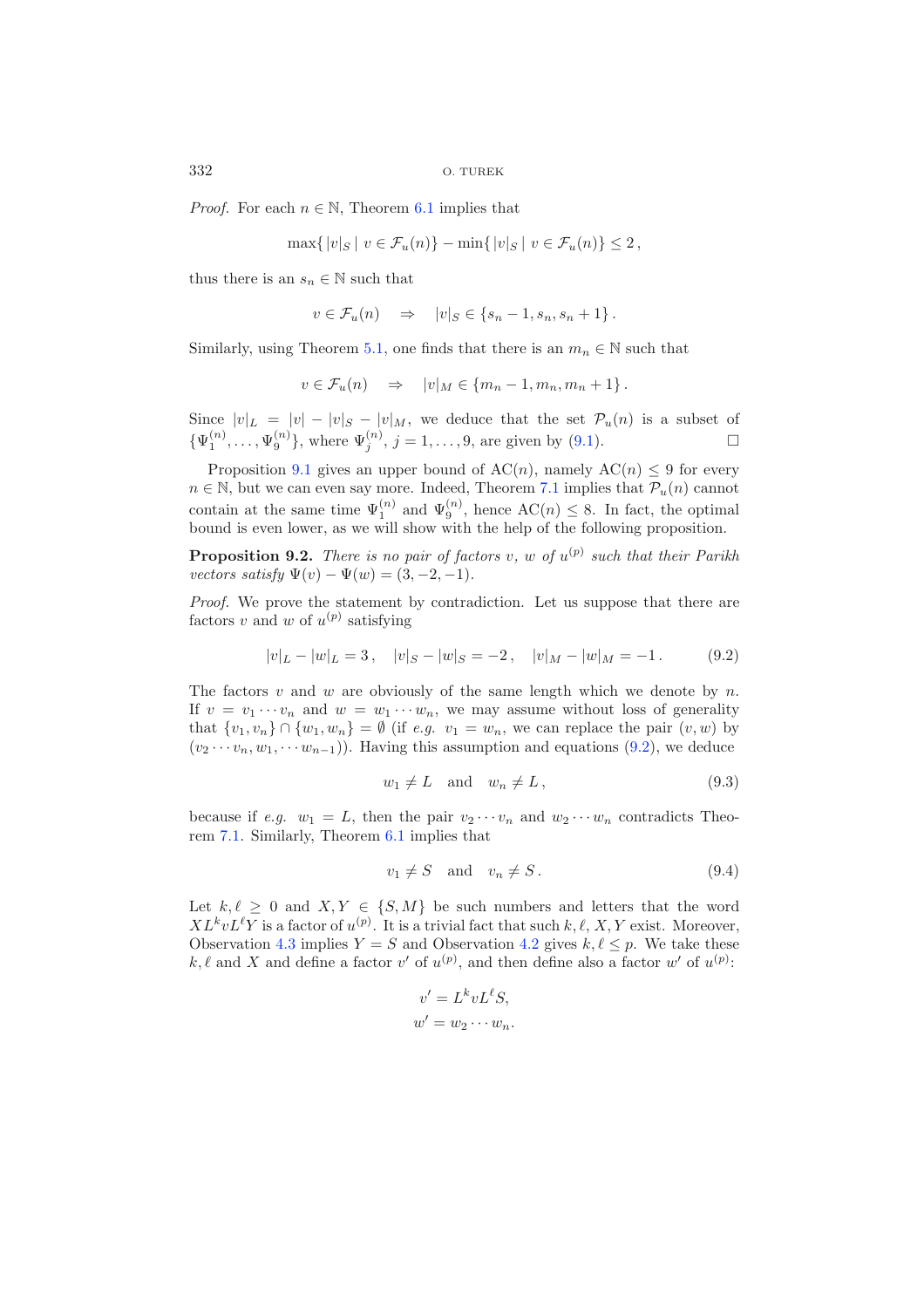*Proof.* For each  $n \in \mathbb{N}$ , Theorem [6.1](#page-15-0) implies that

$$
\max\{|v|_S \mid v \in \mathcal{F}_u(n)\} - \min\{|v|_S \mid v \in \mathcal{F}_u(n)\} \le 2,
$$

thus there is an  $s_n \in \mathbb{N}$  such that

$$
v \in \mathcal{F}_u(n) \quad \Rightarrow \quad |v|_S \in \{s_n - 1, s_n, s_n + 1\}.
$$

Similarly, using Theorem [5.1,](#page-6-0) one finds that there is an  $m_n \in \mathbb{N}$  such that

$$
v \in \mathcal{F}_u(n) \quad \Rightarrow \quad |v|_M \in \{m_n - 1, m_n, m_n + 1\}.
$$

<span id="page-19-0"></span>Since  $|v|_L = |v| - |v|_S - |v|_M$ , we deduce that the set  $\mathcal{P}_u(n)$  is a subset of  $\{\Psi_1^{(n)}, \ldots, \Psi_9^{(n)}\},\$  where  $\Psi_j^{(n)},\ j=1,\ldots,9,$  are given by [\(9.1\)](#page-18-0).

Proposition [9.1](#page-18-1) gives an upper bound of AC(n), namely AC(n)  $\leq$  9 for every  $n \in \mathbb{N}$ , but we can even say more. Indeed, Theorem [7.1](#page-16-0) implies that  $\mathcal{P}_u(n)$  cannot contain at the same time  $\Psi_1^{(n)}$  and  $\Psi_9^{(n)}$ , hence  $AC(n) \leq 8$ . In fact, the optimal bound is even lower, as we will show with the help of the following proposition.

<span id="page-19-2"></span><span id="page-19-1"></span>**Proposition 9.2.** *There is no pair of factors* v, w of  $u^{(p)}$  such that their Parikh *vectors satisfy*  $\Psi(v) - \Psi(w) = (3, -2, -1)$ *.* 

*Proof.* We prove the statement by contradiction. Let us suppose that there are factors v and w of  $u^{(p)}$  satisfying

$$
|v|_L - |w|_L = 3, \quad |v|_S - |w|_S = -2, \quad |v|_M - |w|_M = -1. \tag{9.2}
$$

The factors v and w are obviously of the same length which we denote by n. If  $v = v_1 \cdots v_n$  and  $w = w_1 \cdots w_n$ , we may assume without loss of generality that  $\{v_1, v_n\} \cap \{w_1, w_n\} = \emptyset$  (if *e.g.*  $v_1 = w_n$ , we can replace the pair  $(v, w)$  by  $(v_2 \cdots v_n, w_1, \cdots w_{n-1})$ . Having this assumption and equations [\(9.2\)](#page-19-0), we deduce

$$
w_1 \neq L \quad \text{and} \quad w_n \neq L \,, \tag{9.3}
$$

because if *e.g.*  $w_1 = L$ , then the pair  $v_2 \cdots v_n$  and  $w_2 \cdots w_n$  contradicts Theorem [7.1.](#page-16-0) Similarly, Theorem [6.1](#page-15-0) implies that

$$
v_1 \neq S \quad \text{and} \quad v_n \neq S \,. \tag{9.4}
$$

Let  $k, \ell \geq 0$  and  $X, Y \in \{S, M\}$  be such numbers and letters that the word  $XL^kvL^{\ell}Y$  is a factor of  $u^{(p)}$ . It is a trivial fact that such  $k, \ell, X, Y$  exist. Moreover, Observation [4.3](#page-5-1) implies  $Y = S$  and Observation [4.2](#page-5-0) gives  $k, \ell \leq p$ . We take these k,  $\ell$  and X and define a factor v' of  $u^{(p)}$ , and then define also a factor w' of  $u^{(p)}$ :

$$
v' = L^k v L^\ell S,
$$
  

$$
w' = w_2 \cdots w_n.
$$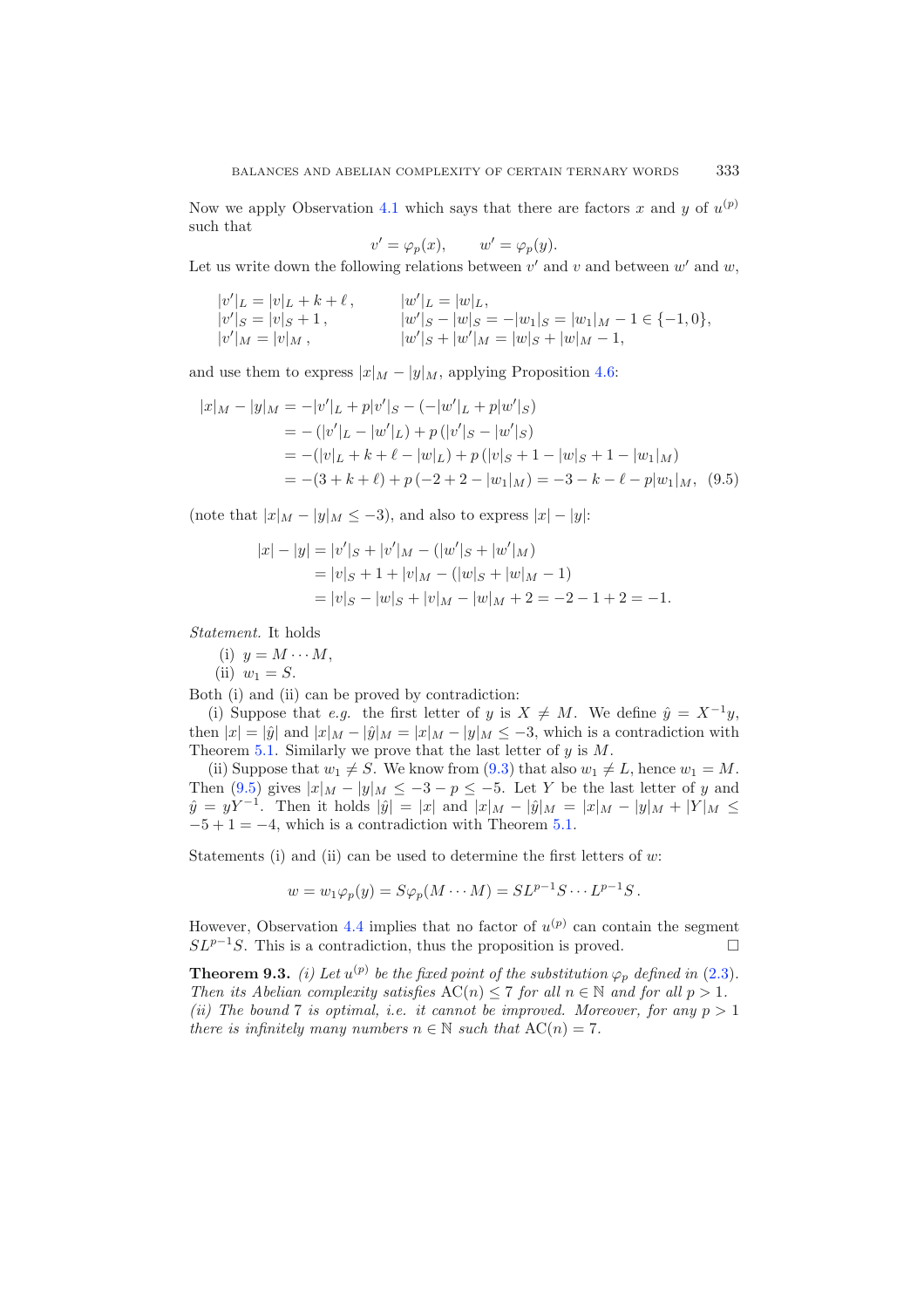<span id="page-20-0"></span>Now we apply Observation [4.1](#page-4-0) which says that there are factors x and y of  $u^{(p)}$ such that

$$
v' = \varphi_p(x), \qquad w' = \varphi_p(y).
$$

Let us write down the following relations between  $v'$  and v and between  $w'$  and  $w$ .

$$
\begin{array}{ll}\n|v'|_L = |v|_L + k + \ell, & |w'|_L = |w|_L, \\
|v'|_S = |v|_S + 1, & |w'|_S - |w|_S = -|w_1|_S = |w_1|_M - 1 \in \{-1, 0\}, \\
|v'|_M = |v|_M, & |w'|_S + |w'|_M = |w|_S + |w|_M - 1,\n\end{array}
$$

and use them to express  $|x|_M - |y|_M$ , applying Proposition [4.6:](#page-6-3)

$$
|x|_M - |y|_M = -|v'|_L + p|v'|_S - (-|w'|_L + p|w'|_S)
$$
  
= - (|v'|\_L - |w'|\_L) + p (|v'|\_S - |w'|\_S)  
= -(|v|\_L + k + \ell - |w|\_L) + p (|v|\_S + 1 - |w|\_S + 1 - |w\_1|\_M)  
= -(3 + k + \ell) + p (-2 + 2 - |w\_1|\_M) = -3 - k - \ell - p|w\_1|\_M, (9.5)

(note that  $|x|_M - |y|_M \leq -3$ ), and also to express  $|x| - |y|$ :

$$
|x| - |y| = |v'|_S + |v'|_M - (|w'|_S + |w'|_M)
$$
  
= |v|\_S + 1 + |v|\_M - (|w|\_S + |w|\_M - 1)  
= |v|\_S - |w|\_S + |v|\_M - |w|\_M + 2 = -2 - 1 + 2 = -1.

*Statement.* It holds

(i)  $y = M \cdots M$ ,

(ii)  $w_1 = S$ .

Both (i) and (ii) can be proved by contradiction:

(i) Suppose that *e.g.* the first letter of y is  $X \neq M$ . We define  $\hat{y} = X^{-1}y$ , then  $|x| = |\hat{y}|$  and  $|x|_M - |\hat{y}|_M = |x|_M - |y|_M \leq -3$ , which is a contradiction with Theorem [5.1.](#page-6-0) Similarly we prove that the last letter of  $y$  is  $M$ .

(ii) Suppose that  $w_1 \neq S$ . We know from [\(9.3\)](#page-19-1) that also  $w_1 \neq L$ , hence  $w_1 = M$ . Then [\(9.5\)](#page-20-0) gives  $|x|_M - |y|_M \leq -3 - p \leq -5$ . Let Y be the last letter of y and  $\hat{y} = yY^{-1}$ . Then it holds  $|\hat{y}| = |x|$  and  $|x|_M - |\hat{y}|_M = |x|_M - |y|_M + |Y|_M \le$  $-5+1=-4$ , which is a contradiction with Theorem [5.1.](#page-6-0)

Statements (i) and (ii) can be used to determine the first letters of  $w$ :

$$
w = w_1 \varphi_p(y) = S \varphi_p(M \cdots M) = S L^{p-1} S \cdots L^{p-1} S.
$$

However, Observation [4.4](#page-5-2) implies that no factor of  $u^{(p)}$  can contain the segment  $SL^{p-1}S$ . This is a contradiction, thus the proposition is proved.  $\Box$ 

**Theorem 9.3.** *(i) Let*  $u^{(p)}$  *be the fixed point of the substitution*  $\varphi_p$  *defined in* [\(2.3\)](#page-3-1)*. Then its Abelian complexity satisfies*  $AC(n) \leq 7$  *for all*  $n \in \mathbb{N}$  *and for all*  $p > 1$ *. (ii)* The bound 7 *is optimal, i.e. it cannot be improved. Moreover, for any*  $p > 1$ *there is infinitely many numbers*  $n \in \mathbb{N}$  *such that*  $AC(n) = 7$ *.*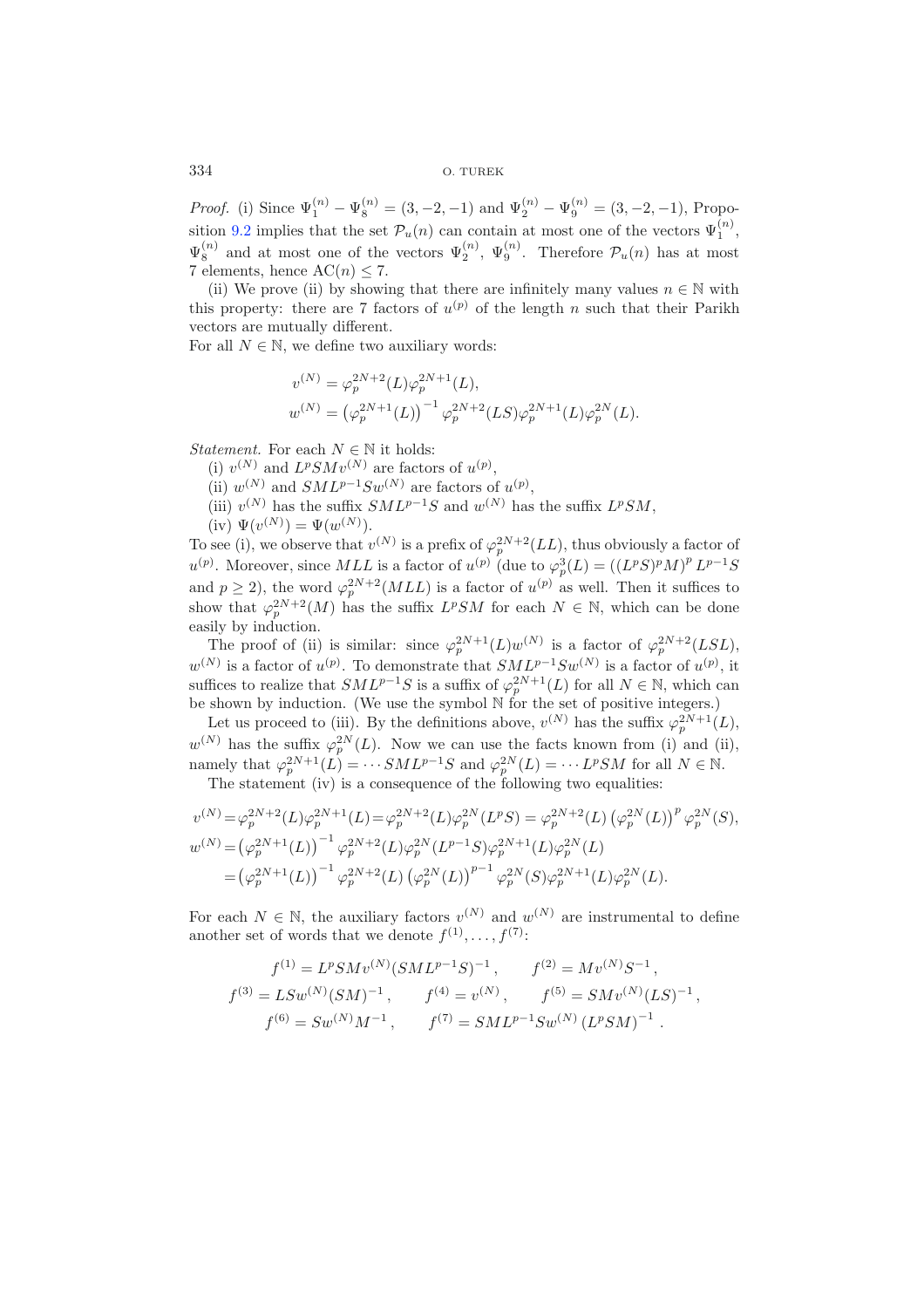*Proof.* (i) Since  $\Psi_1^{(n)} - \Psi_8^{(n)} = (3, -2, -1)$  and  $\Psi_2^{(n)} - \Psi_9^{(n)} = (3, -2, -1)$ , Propo-sition [9.2](#page-19-2) implies that the set  $\mathcal{P}_u(n)$  can contain at most one of the vectors  $\Psi_1^{(n)}$ ,  $\Psi_8^{(n)}$  and at most one of the vectors  $\Psi_2^{(n)}$ ,  $\Psi_9^{(n)}$ . Therefore  $\mathcal{P}_u(n)$  has at most 7 elements, hence  $AC(n) \leq 7$ .

(ii) We prove (ii) by showing that there are infinitely many values  $n \in \mathbb{N}$  with this property: there are 7 factors of  $u^{(p)}$  of the length n such that their Parikh vectors are mutually different.

For all  $N \in \mathbb{N}$ , we define two auxiliary words:

$$
v^{(N)} = \varphi_p^{2N+2}(L)\varphi_p^{2N+1}(L),
$$
  

$$
w^{(N)} = (\varphi_p^{2N+1}(L))^{-1} \varphi_p^{2N+2}(LS)\varphi_p^{2N+1}(L)\varphi_p^{2N}(L).
$$

*Statement.* For each  $N \in \mathbb{N}$  it holds:

(i)  $v^{(N)}$  and  $L^pSMv^{(N)}$  are factors of  $u^{(p)}$ ,

- (ii)  $w^{(N)}$  and  $SML^{p-1}Sw^{(N)}$  are factors of  $u^{(p)}$ ,
- (ii)  $v^{(N)}$  has the suffix  $SML^{p-1}S$  and  $w^{(N)}$  has the suffix  $L^pSM$ ,
- (iv)  $\Psi(v^{(N)}) = \Psi(w^{(N)})$ .

To see (i), we observe that  $v^{(N)}$  is a prefix of  $\varphi_p^{2N+2}(LL)$ , thus obviously a factor of  $u^{(p)}$ . Moreover, since MLL is a factor of  $u^{(p)}$  (due to  $\varphi_p^3(L) = ((L^p S)^p M)^p L^{p-1} S$ and  $p \ge 2$ ), the word  $\varphi_p^{2N+2}(MLL)$  is a factor of  $u^{(p)}$  as well. Then it suffices to show that  $\varphi_n^{2N+2}(M)$  has the suffix  $L^pSM$  for each  $N \in \mathbb{N}$ , which can be done easily by induction.

The proof of (ii) is similar: since  $\varphi_p^{2N+1}(L)w^{(N)}$  is a factor of  $\varphi_p^{2N+2}(LSL)$ ,  $w^{(N)}$  is a factor of  $u^{(p)}$ . To demonstrate that  $SML^{p-1}Sw^{(N)}$  is a factor of  $u^{(p)}$ , it suffices to realize that  $SML^{p-1}S$  is a suffix of  $\varphi_p^{2N+1}(L)$  for all  $N \in \mathbb{N}$ , which can be shown by induction. (We use the symbol N for the set of positive integers.)

Let us proceed to (iii). By the definitions above,  $v^{(N)}$  has the suffix  $\varphi_p^{2N+1}(L)$ ,  $w^{(N)}$  has the suffix  $\varphi_p^{2N}(L)$ . Now we can use the facts known from (i) and (ii), namely that  $\varphi_p^{2N+1}(L) = \cdots SML^{p-1}S$  and  $\varphi_p^{2N}(L) = \cdots L^pSM$  for all  $N \in \mathbb{N}$ .

The statement (iv) is a consequence of the following two equalities:

$$
\begin{split} v^{(N)}=&\,\varphi_p^{2N+2}(L)\varphi_p^{2N+1}(L)=\varphi_p^{2N+2}(L)\varphi_p^{2N}(L^pS)=\varphi_p^{2N+2}(L)\left(\varphi_p^{2N}(L)\right)^p\varphi_p^{2N}(S),\\ w^{(N)}=&\left(\varphi_p^{2N+1}(L)\right)^{-1}\varphi_p^{2N+2}(L)\varphi_p^{2N}(L^{p-1}S)\varphi_p^{2N+1}(L)\varphi_p^{2N}(L)\\ &\quad=\left(\varphi_p^{2N+1}(L)\right)^{-1}\varphi_p^{2N+2}(L)\left(\varphi_p^{2N}(L)\right)^{p-1}\varphi_p^{2N}(S)\varphi_p^{2N+1}(L)\varphi_p^{2N}(L). \end{split}
$$

For each  $N \in \mathbb{N}$ , the auxiliary factors  $v^{(N)}$  and  $w^{(N)}$  are instrumental to define another set of words that we denote  $f^{(1)}, \ldots, f^{(7)}$ :

$$
f^{(1)} = L^p S M v^{(N)} (S M L^{p-1} S)^{-1}, \t f^{(2)} = M v^{(N)} S^{-1},
$$
  
\n
$$
f^{(3)} = L S w^{(N)} (S M)^{-1}, \t f^{(4)} = v^{(N)}, \t f^{(5)} = S M v^{(N)} (L S)^{-1},
$$
  
\n
$$
f^{(6)} = S w^{(N)} M^{-1}, \t f^{(7)} = S M L^{p-1} S w^{(N)} (L^p S M)^{-1}.
$$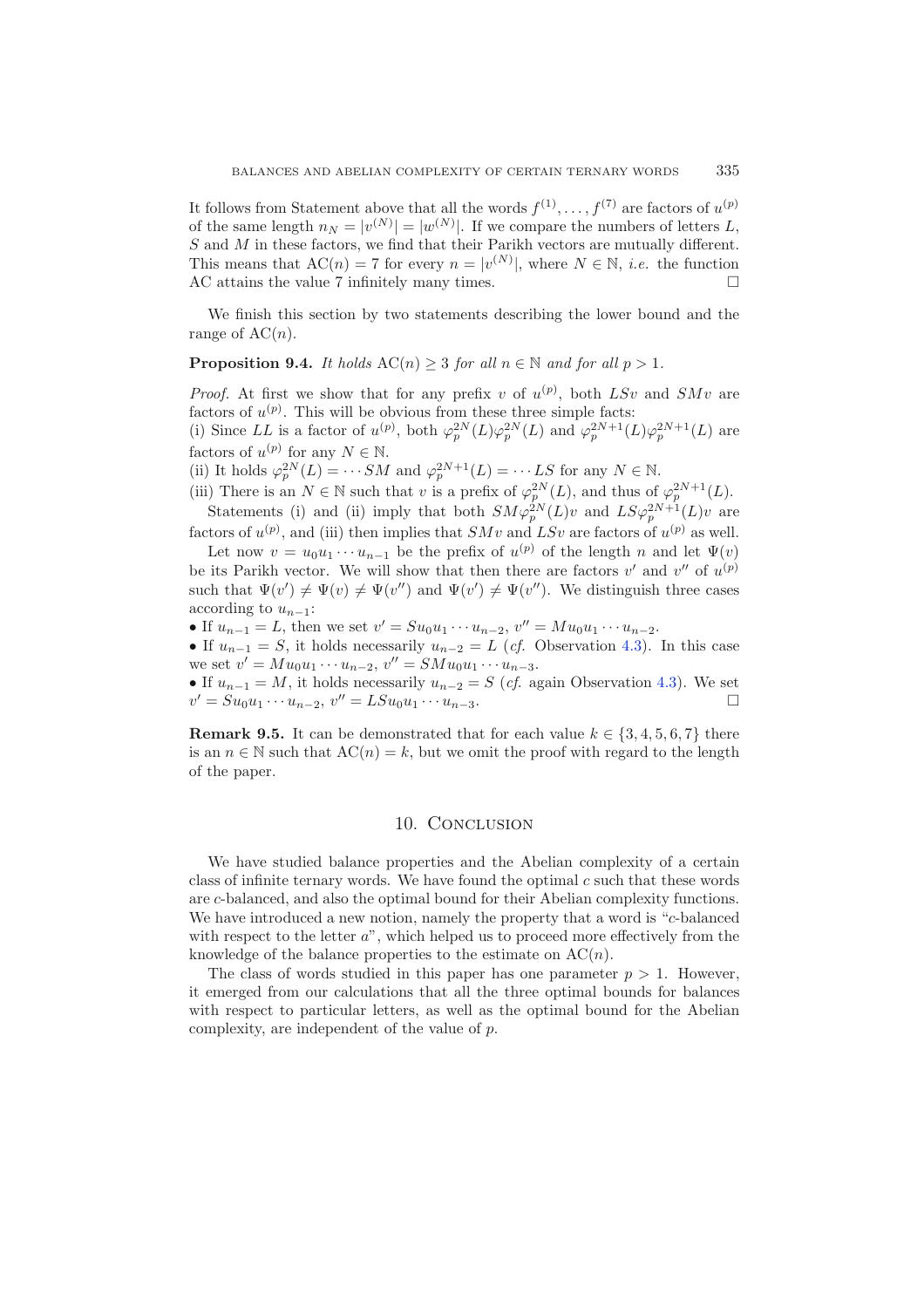It follows from Statement above that all the words  $f^{(1)},...,f^{(7)}$  are factors of  $u^{(p)}$ of the same length  $n_N = |v^{(N)}| = |w^{(N)}|$ . If we compare the numbers of letters L, S and M in these factors, we find that their Parikh vectors are mutually different. This means that  $AC(n) = 7$  for every  $n = |v^{(N)}|$ , where  $N \in \mathbb{N}$ , *i.e.* the function AC attains the value 7 infinitely many times.  $\Box$ 

We finish this section by two statements describing the lower bound and the range of  $AC(n)$ .

### **Proposition 9.4.** *It holds*  $AC(n) \geq 3$  *for all*  $n \in \mathbb{N}$  *and for all*  $p > 1$ *.*

*Proof.* At first we show that for any prefix v of  $u^{(p)}$ , both LSv and SMv are factors of  $u^{(p)}$ . This will be obvious from these three simple facts:

(i) Since LL is a factor of  $u^{(p)}$ , both  $\varphi_p^{2N}(L)\varphi_p^{2N}(L)$  and  $\varphi_p^{2N+1}(L)\varphi_p^{2N+1}(L)$  are factors of  $u^{(p)}$  for any  $N \in \mathbb{N}$ .

(ii) It holds  $\varphi_p^{2N}(L) = \cdots SM$  and  $\varphi_p^{2N+1}(L) = \cdots LS$  for any  $N \in \mathbb{N}$ .

(iii) There is an  $N \in \mathbb{N}$  such that v is a prefix of  $\varphi_p^{2N}(L)$ , and thus of  $\varphi_p^{2N+1}(L)$ . Statements (i) and (ii) imply that both  $SM\varphi_p^{2N}(L)v$  and  $LS\varphi_p^{2N+1}(L)v$  are

factors of  $u^{(p)}$ , and (iii) then implies that  $SMv$  and  $LSv$  are factors of  $u^{(p)}$  as well.

Let now  $v = u_0u_1 \cdots u_{n-1}$  be the prefix of  $u^{(p)}$  of the length n and let  $\Psi(v)$ be its Parikh vector. We will show that then there are factors  $v'$  and  $v''$  of  $u^{(p)}$ such that  $\Psi(v') \neq \Psi(v) \neq \Psi(v'')$  and  $\Psi(v') \neq \Psi(v'')$ . We distinguish three cases according to  $u_{n-1}$ :

• If  $u_{n-1} = L$ , then we set  $v' = Su_0u_1 \cdots u_{n-2}$ ,  $v'' = Mu_0u_1 \cdots u_{n-2}$ .

• If  $u_{n-1} = S$ , it holds necessarily  $u_{n-2} = L$  (*cf.* Observation [4.3\)](#page-5-1). In this case we set  $v' = Mu_0u_1 \cdots u_{n-2}$ ,  $v'' = SMu_0u_1 \cdots u_{n-3}$ .

• If  $u_{n-1} = M$ , it holds necessarily  $u_{n-2} = S$  (*cf.* again Observation [4.3\)](#page-5-1). We set  $v' = Su_2u_1 \cdots u_{n-2}$   $v'' = LSu_2u_1 \cdots u_{n-2}$  $v' = Su_0u_1 \cdots u_{n-2}, v'' = LSu_0u_1 \cdots u_{n-3}.$ 

**Remark 9.5.** It can be demonstrated that for each value  $k \in \{3, 4, 5, 6, 7\}$  there is an  $n \in \mathbb{N}$  such that  $AC(n) = k$ , but we omit the proof with regard to the length of the paper.

### 10. CONCLUSION

We have studied balance properties and the Abelian complexity of a certain class of infinite ternary words. We have found the optimal  $c$  such that these words are c-balanced, and also the optimal bound for their Abelian complexity functions. We have introduced a new notion, namely the property that a word is "c-balanced with respect to the letter a", which helped us to proceed more effectively from the knowledge of the balance properties to the estimate on  $AC(n)$ .

The class of words studied in this paper has one parameter  $p > 1$ . However, it emerged from our calculations that all the three optimal bounds for balances with respect to particular letters, as well as the optimal bound for the Abelian complexity, are independent of the value of p.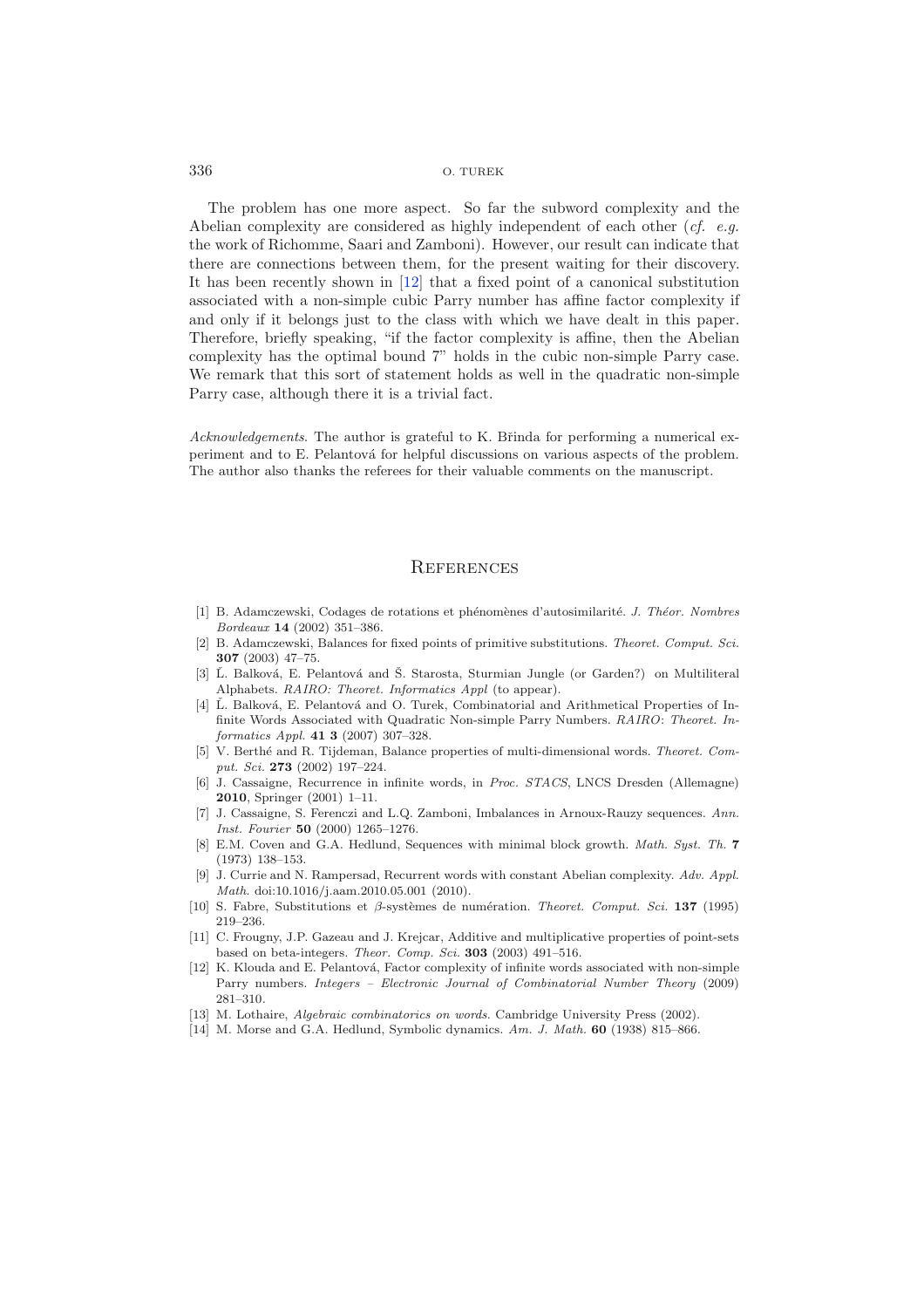The problem has one more aspect. So far the subword complexity and the Abelian complexity are considered as highly independent of each other (*cf. e.g.* the work of Richomme, Saari and Zamboni). However, our result can indicate that there are connections between them, for the present waiting for their discovery. It has been recently shown in [\[12\]](#page-23-7) that a fixed point of a canonical substitution associated with a non-simple cubic Parry number has affine factor complexity if and only if it belongs just to the class with which we have dealt in this paper. Therefore, briefly speaking, "if the factor complexity is affine, then the Abelian complexity has the optimal bound 7" holds in the cubic non-simple Parry case. We remark that this sort of statement holds as well in the quadratic non-simple Parry case, although there it is a trivial fact.

*Acknowledgements*. The author is grateful to K. Brinda for performing a numerical experiment and to E. Pelantová for helpful discussions on various aspects of the problem. The author also thanks the referees for their valuable comments on the manuscript.

### **REFERENCES**

- <span id="page-23-3"></span>[1] B. Adamczewski, Codages de rotations et ph´enom`enes d'autosimilarit´e. *J. Th´eor. Nombres Bordeaux* **14** (2002) 351–386.
- <span id="page-23-4"></span>[2] B. Adamczewski, Balances for fixed points of primitive substitutions. *Theoret. Comput. Sci.* **307** (2003) 47–75.
- <span id="page-23-1"></span>[3] L. Balková, E. Pelantová and Š. Starosta, Sturmian Jungle (or Garden?) on Multiliteral Alphabets. *RAIRO: Theoret. Informatics Appl* (to appear).
- <span id="page-23-5"></span>[4] L. Balková, E. Pelantová and O. Turek, Combinatorial and Arithmetical Properties of Infinite Words Associated with Quadratic Non-simple Parry Numbers. *RAIRO*: *Theoret. Informatics Appl.* **41 3** (2007) 307–328.
- [5] V. Berth´e and R. Tijdeman, Balance properties of multi-dimensional words. *Theoret. Comput. Sci.* **273** (2002) 197–224.
- [6] J. Cassaigne, Recurrence in infinite words, in *Proc. STACS*, LNCS Dresden (Allemagne) **2010**, Springer (2001) 1–11.
- <span id="page-23-2"></span>[7] J. Cassaigne, S. Ferenczi and L.Q. Zamboni, Imbalances in Arnoux-Rauzy sequences. *Ann. Inst. Fourier* **50** (2000) 1265–1276.
- [8] E.M. Coven and G.A. Hedlund, Sequences with minimal block growth. *Math. Syst. Th.* **7** (1973) 138–153.
- [9] J. Currie and N. Rampersad, Recurrent words with constant Abelian complexity. *Adv. Appl. Math.* doi:10.1016/j.aam.2010.05.001 (2010).
- <span id="page-23-8"></span><span id="page-23-6"></span>[10] S. Fabre, Substitutions et β-systèmes de numération. *Theoret. Comput. Sci.* **137** (1995) 219–236.
- [11] C. Frougny, J.P. Gazeau and J. Krejcar, Additive and multiplicative properties of point-sets based on beta-integers. *Theor. Comp. Sci.* **303** (2003) 491–516.
- <span id="page-23-7"></span>[12] K. Klouda and E. Pelantová, Factor complexity of infinite words associated with non-simple Parry numbers. *Integers – Electronic Journal of Combinatorial Number Theory* (2009) 281–310.
- <span id="page-23-0"></span>[13] M. Lothaire, *Algebraic combinatorics on words.* Cambridge University Press (2002).
- [14] M. Morse and G.A. Hedlund, Symbolic dynamics. *Am. J. Math.* **60** (1938) 815–866.